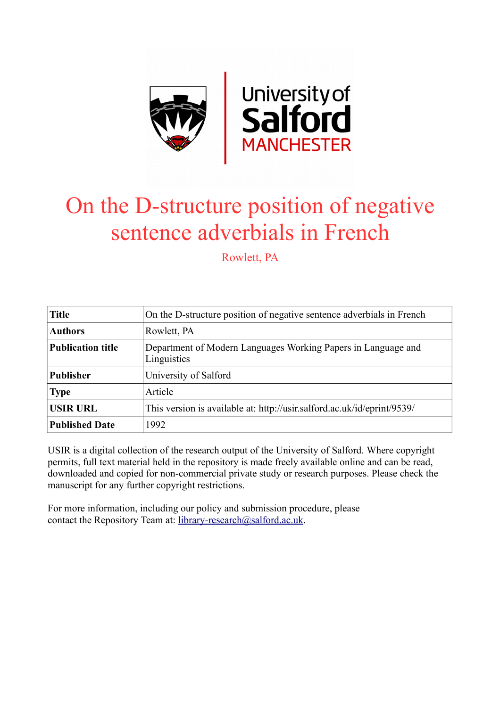

# On the D-structure position of negative sentence adverbials in French

Rowlett, PA

| <b>Title</b>             | On the D-structure position of negative sentence adverbials in French        |
|--------------------------|------------------------------------------------------------------------------|
| <b>Authors</b>           | Rowlett, PA                                                                  |
| <b>Publication title</b> | Department of Modern Languages Working Papers in Language and<br>Linguistics |
| <b>Publisher</b>         | University of Salford                                                        |
| <b>Type</b>              | Article                                                                      |
| <b>USIR URL</b>          | This version is available at: http://usir.salford.ac.uk/id/eprint/9539/      |
| <b>Published Date</b>    | 1992                                                                         |

USIR is a digital collection of the research output of the University of Salford. Where copyright permits, full text material held in the repository is made freely available online and can be read, downloaded and copied for non-commercial private study or research purposes. Please check the manuscript for any further copyright restrictions.

For more information, including our policy and submission procedure, please contact the Repository Team at: [library-research@salford.ac.uk.](mailto:library-research@salford.ac.uk)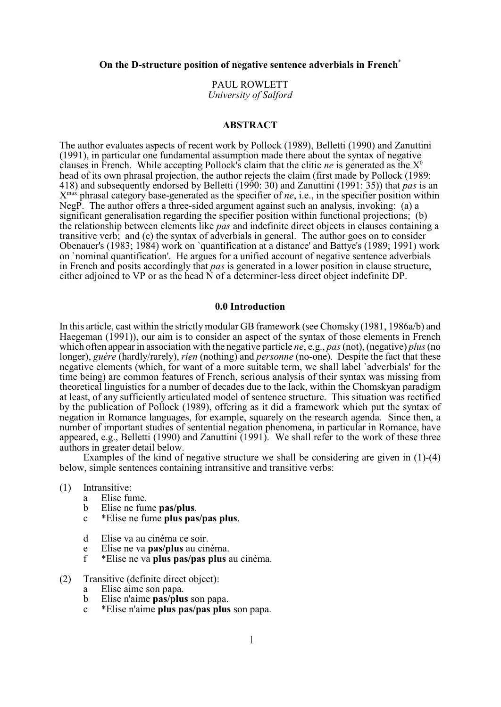**On the D-structure position of negative sentence adverbials in French**\*

PAUL ROWLETT *University of Salford*

# **ABSTRACT**

The author evaluates aspects of recent work by Pollock (1989), Belletti (1990) and Zanuttini (1991), in particular one fundamental assumption made there about the syntax of negative clauses in French. While accepting Pollock's claim that the clitic *ne* is generated as the X<sup>0</sup> head of its own phrasal projection, the author rejects the claim (first made by Pollock (1989: 418) and subsequently endorsed by Belletti (1990: 30) and Zanuttini (1991: 35)) that *pas* is an X<sup>max</sup> phrasal category base-generated as the specifier of *ne*, i.e., in the specifier position within NegP. The author offers a three-sided argument against such an analysis, invoking: (a) a significant generalisation regarding the specifier position within functional projections; (b) the relationship between elements like *pas* and indefinite direct objects in clauses containing a transitive verb; and (c) the syntax of adverbials in general. The author goes on to consider Obenauer's (1983; 1984) work on `quantification at a distance' and Battye's (1989; 1991) work on `nominal quantification'. He argues for a unified account of negative sentence adverbials in French and posits accordingly that *pas* is generated in a lower position in clause structure, either adjoined to VP or as the head  $\tilde{N}$  of a determiner-less direct object indefinite DP.

#### **0.0 Introduction**

In this article, cast within the strictly modular GB framework (see Chomsky (1981, 1986a/b) and Haegeman (1991)), our aim is to consider an aspect of the syntax of those elements in French which often appear in association with the negative particle *ne*, e.g., *pas*(not), (negative) *plus* (no longer), *guère* (hardly/rarely), *rien* (nothing) and *personne* (no-one). Despite the fact that these negative elements (which, for want of a more suitable term, we shall label `adverbials' for the time being) are common features of French, serious analysis of their syntax was missing from theoretical linguistics for a number of decades due to the lack, within the Chomskyan paradigm at least, of any sufficiently articulated model of sentence structure. This situation was rectified by the publication of Pollock (1989), offering as it did a framework which put the syntax of negation in Romance languages, for example, squarely on the research agenda. Since then, a number of important studies of sentential negation phenomena, in particular in Romance, have appeared, e.g., Belletti (1990) and Zanuttini (1991). We shall refer to the work of these three authors in greater detail below.

Examples of the kind of negative structure we shall be considering are given in (1)-(4) below, simple sentences containing intransitive and transitive verbs:

- (1) Intransitive:
	- a Elise fume.
	- b Elise ne fume **pas/plus**.
	- c \*Elise ne fume **plus pas/pas plus**.
	- d Elise va au cinéma ce soir.
	- e Elise ne va **pas/plus** au cinéma.
	- f \*Elise ne va **plus pas/pas plus** au cinéma.
- (2) Transitive (definite direct object):
	- a Elise aime son papa.
	- b Elise n'aime **pas/plus** son papa.
	- c \*Elise n'aime **plus pas/pas plus** son papa.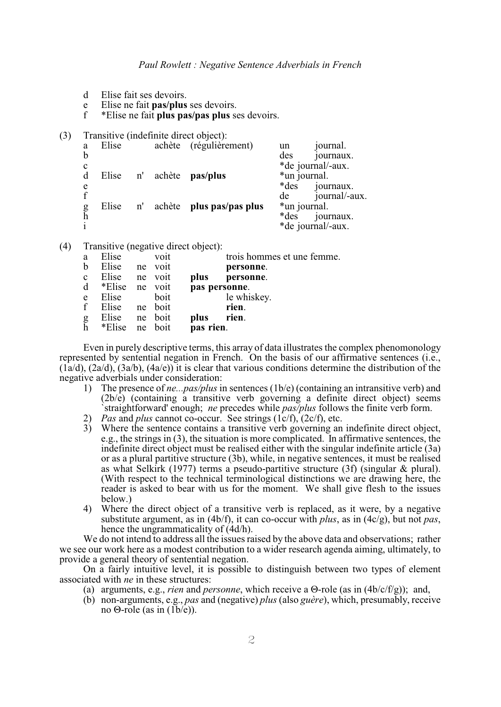- d Elise fait ses devoirs.
- e Elise ne fait **pas/plus** ses devoirs.
- f \*Elise ne fait **plus pas/pas plus** ses devoirs.
- (3) Transitive (indefinite direct object):

| a           | Elise |    |           | achète (régulièrement)   | un           | journal.          |
|-------------|-------|----|-----------|--------------------------|--------------|-------------------|
| b           |       |    |           |                          | des          | journaux.         |
| $\mathbf c$ |       |    |           |                          |              | *de journal/-aux. |
| d           | Elise |    | n' achète | pas/plus                 | *un journal. |                   |
| e           |       |    |           |                          | *des         | journaux.         |
| £           |       |    |           |                          | de           | journal/-aux.     |
| g           | Elise | n' |           | achète plus pas/pas plus | *un journal. |                   |
| h           |       |    |           |                          | *des         | journaux.         |
|             |       |    |           |                          |              | *de journal/-aux. |

(4) Transitive (negative direct object):

| a           | Elise          | voit    | trois hommes et une femme. |
|-------------|----------------|---------|----------------------------|
| b           | Elise          | ne voit | personne.                  |
| $\mathbf c$ | Elise          | ne voit | plus<br>personne.          |
| d           | *Elise ne voit |         | pas personne.              |
| e           | Elise          | boit    | le whiskey.                |
| $\mathbf f$ | Elise          | ne boit | rien.                      |
|             | Elise          | ne boit | plus<br>rien.              |
| g<br>h      | *Elise         | ne boit | pas rien.                  |
|             |                |         |                            |

Even in purely descriptive terms, this array of data illustrates the complex phenomonology represented by sentential negation in French. On the basis of our affirmative sentences (i.e.,  $(1a/d)$ ,  $(2a/d)$ ,  $(3a/b)$ ,  $(4a/e)$ ) it is clear that various conditions determine the distribution of the negative adverbials under consideration:

- 1) The presence of *ne...pas/plus* in sentences (1b/e) (containing an intransitive verb) and (2b/e) (containing a transitive verb governing a definite direct object) seems `straightforward' enough; *ne* precedes while *pas/plus* follows the finite verb form.
- 2) *Pas* and *plus* cannot co-occur. See strings (1c/f), (2c/f), etc.
- 3) Where the sentence contains a transitive verb governing an indefinite direct object, e.g., the strings in (3), the situation is more complicated. In affirmative sentences, the indefinite direct object must be realised either with the singular indefinite article (3a) or as a plural partitive structure (3b), while, in negative sentences, it must be realised as what Selkirk (1977) terms a pseudo-partitive structure (3f) (singular & plural). (With respect to the technical terminological distinctions we are drawing here, the reader is asked to bear with us for the moment. We shall give flesh to the issues below.)
- 4) Where the direct object of a transitive verb is replaced, as it were, by a negative substitute argument, as in (4b/f), it can co-occur with *plus*, as in (4c/g), but not *pas*, hence the ungrammaticality of (4d/h).

We do not intend to address all the issues raised by the above data and observations; rather we see our work here as a modest contribution to a wider research agenda aiming, ultimately, to provide a general theory of sentential negation.

On a fairly intuitive level, it is possible to distinguish between two types of element associated with *ne* in these structures:

- (a) arguments, e.g., *rien* and *personne*, which receive a  $\Theta$ -role (as in (4b/c/f/g)); and,
- (b) non-arguments, e.g., *pas* and (negative) *plus* (also *guère*), which, presumably, receive no  $\Theta$ -role (as in (1b/e)).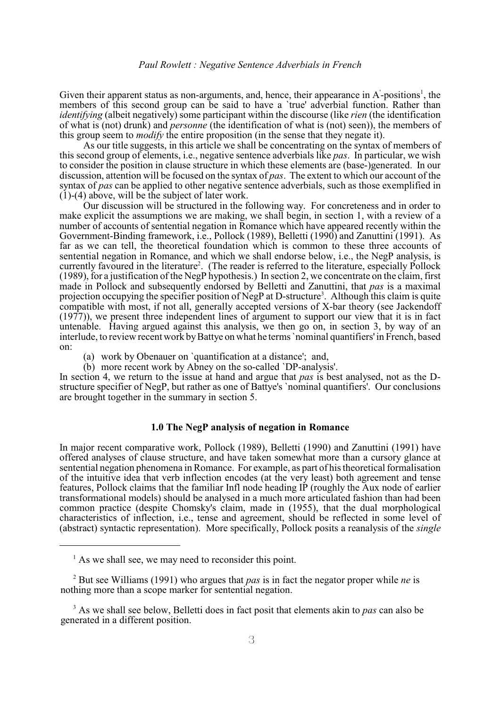Given their apparent status as non-arguments, and, hence, their appearance in  $A<sup>2</sup>$ -positions<sup>1</sup>, the members of this second group can be said to have a 'true' adverbial function. Rather than *identifying* (albeit negatively) some participant within the discourse (like *rien* (the identification of what is (not) drunk) and *personne* (the identification of what is (not) seen)), the members of this group seem to *modify* the entire proposition (in the sense that they negate it).

As our title suggests, in this article we shall be concentrating on the syntax of members of this second group of elements, i.e., negative sentence adverbials like *pas*. In particular, we wish to consider the position in clause structure in which these elements are (base-)generated. In our discussion, attention will be focused on the syntax of *pas*. The extent to which our account of the syntax of *pas* can be applied to other negative sentence adverbials, such as those exemplified in (1)-(4) above, will be the subject of later work.

Our discussion will be structured in the following way. For concreteness and in order to make explicit the assumptions we are making, we shall begin, in section 1, with a review of a number of accounts of sentential negation in Romance which have appeared recently within the Government-Binding framework, i.e., Pollock (1989), Belletti (1990) and Zanuttini (1991). As far as we can tell, the theoretical foundation which is common to these three accounts of sentential negation in Romance, and which we shall endorse below, i.e., the NegP analysis, is currently favoured in the literature<sup>2</sup>. (The reader is referred to the literature, especially Pollock (1989), for a justification of the NegP hypothesis.) In section 2, we concentrate on the claim, first made in Pollock and subsequently endorsed by Belletti and Zanuttini, that *pas* is a maximal projection occupying the specifier position of NegP at D-structure<sup>3</sup>. Although this claim is quite compatible with most, if not all, generally accepted versions of X-bar theory (see Jackendoff (1977)), we present three independent lines of argument to support our view that it is in fact untenable. Having argued against this analysis, we then go on, in section 3, by way of an interlude, to review recent work by Battye on what he terms `nominal quantifiers' in French, based on:

- (a) work by Obenauer on `quantification at a distance'; and,
- (b) more recent work by Abney on the so-called `DP-analysis'.

In section 4, we return to the issue at hand and argue that *pas* is best analysed, not as the Dstructure specifier of NegP, but rather as one of Battye's `nominal quantifiers'. Our conclusions are brought together in the summary in section 5.

# **1.0 The NegP analysis of negation in Romance**

In major recent comparative work, Pollock (1989), Belletti (1990) and Zanuttini (1991) have offered analyses of clause structure, and have taken somewhat more than a cursory glance at sentential negation phenomena in Romance. For example, as part of his theoretical formalisation of the intuitive idea that verb inflection encodes (at the very least) both agreement and tense features, Pollock claims that the familiar Infl node heading IP (roughly the Aux node of earlier transformational models) should be analysed in a much more articulated fashion than had been common practice (despite Chomsky's claim, made in (1955), that the dual morphological characteristics of inflection, i.e., tense and agreement, should be reflected in some level of (abstract) syntactic representation). More specifically, Pollock posits a reanalysis of the *single*

 $<sup>1</sup>$  As we shall see, we may need to reconsider this point.</sup>

 $\mu^2$  But see Williams (1991) who argues that *pas* is in fact the negator proper while *ne* is nothing more than a scope marker for sentential negation.

<sup>&</sup>lt;sup>3</sup> As we shall see below, Belletti does in fact posit that elements akin to *pas* can also be generated in a different position.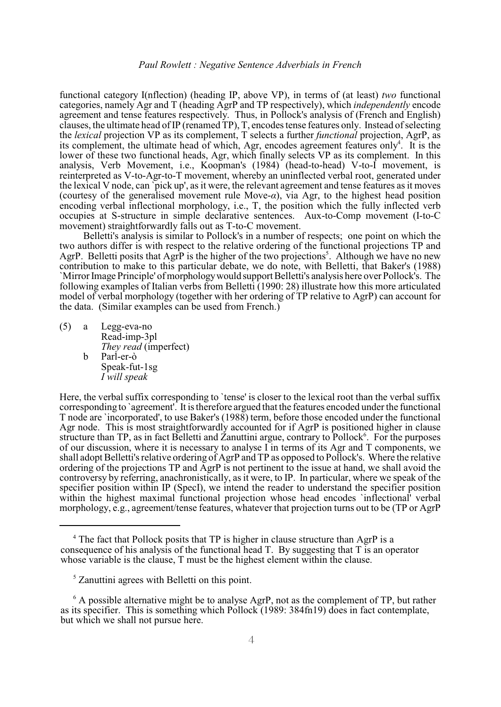functional category I(nflection) (heading IP, above VP), in terms of (at least) *two* functional categories, namely Agr and T (heading AgrP and TP respectively), which *independently* encode agreement and tense features respectively. Thus, in Pollock's analysis of (French and English) clauses, the ultimate head ofIP (renamed TP), T, encodes tense features only. Instead of selecting the *lexical* projection VP as its complement, T selects a further *functional* projection, AgrP, as its complement, the ultimate head of which, Agr, encodes agreement features only<sup>4</sup>. It is the lower of these two functional heads, Agr, which finally selects VP as its complement. In this analysis, Verb Movement, i.e., Koopman's (1984) (head-to-head) V-to-I movement, is reinterpreted as V-to-Agr-to-T movement, whereby an uninflected verbal root, generated under the lexical V node, can `pick up', as it were, the relevant agreement and tense features as it moves (courtesy of the generalised movement rule Move- $\alpha$ ), via Agr, to the highest head position encoding verbal inflectional morphology, i.e., T, the position which the fully inflected verb occupies at S-structure in simple declarative sentences. Aux-to-Comp movement (I-to-C movement) straightforwardly falls out as T-to-C movement.

Belletti's analysis is similar to Pollock's in a number of respects; one point on which the two authors differ is with respect to the relative ordering of the functional projections TP and AgrP. Belletti posits that AgrP is the higher of the two projections<sup>5</sup>. Although we have no new contribution to make to this particular debate, we do note, with Belletti, that Baker's (1988) `Mirror Image Principle' of morphology would support Belletti's analysis here over Pollock's. The following examples of Italian verbs from Belletti (1990: 28) illustrate how this more articulated model of verbal morphology (together with her ordering of TP relative to AgrP) can account for the data. (Similar examples can be used from French.)

(5) a Legg-eva-no Read-imp-3pl *They read* (imperfect) b Parl-er-ò Speak-fut-1sg *I will speak*

Here, the verbal suffix corresponding to 'tense' is closer to the lexical root than the verbal suffix corresponding to `agreement'. It is therefore argued that the features encoded under the functional T node are `incorporated', to use Baker's (1988) term, before those encoded under the functional Agr node. This is most straightforwardly accounted for if AgrP is positioned higher in clause structure than TP, as in fact Belletti and Zanuttini argue, contrary to Pollock<sup>6</sup>. For the purposes of our discussion, where it is necessary to analyse I in terms of its Agr and T components, we shall adopt Belletti's relative ordering of AgrP and TP as opposed to Pollock's. Where the relative ordering of the projections TP and AgrP is not pertinent to the issue at hand, we shall avoid the controversy by referring, anachronistically, as it were, to IP. In particular, where we speak of the specifier position within IP (SpecI), we intend the reader to understand the specifier position within the highest maximal functional projection whose head encodes 'inflectional' verbal morphology, e.g., agreement/tense features, whatever that projection turns out to be (TP or AgrP

<sup>&</sup>lt;sup>4</sup> The fact that Pollock posits that TP is higher in clause structure than  $A$ grP is a consequence of his analysis of the functional head T. By suggesting that T is an operator whose variable is the clause, T must be the highest element within the clause.

 $\frac{5}{5}$  Zanuttini agrees with Belletti on this point.

 $\delta$  A possible alternative might be to analyse AgrP, not as the complement of TP, but rather as its specifier. This is something which Pollock (1989: 384fn19) does in fact contemplate, but which we shall not pursue here.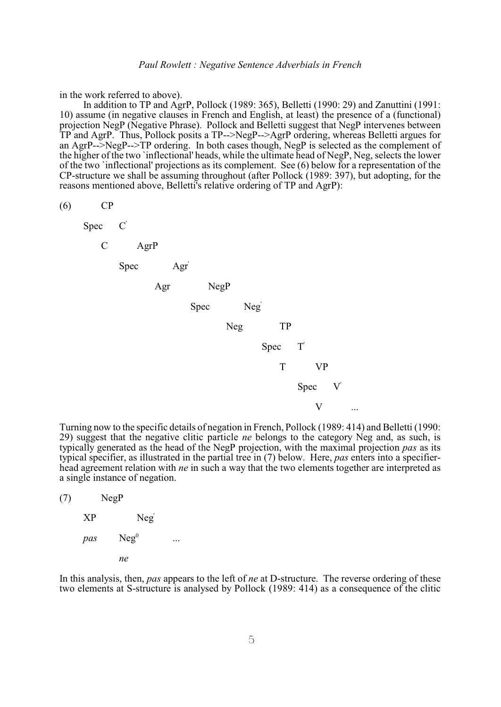in the work referred to above).

In addition to TP and AgrP, Pollock (1989: 365), Belletti (1990: 29) and Zanuttini (1991: 10) assume (in negative clauses in French and English, at least) the presence of a (functional) projection NegP (Negative Phrase). Pollock and Belletti suggest that NegP intervenes between TP and AgrP. Thus, Pollock posits a TP-->NegP-->AgrP ordering, whereas Belletti argues for an AgrP-->NegP-->TP ordering. In both cases though, NegP is selected as the complement of the higher of the two `inflectional' heads, while the ultimate head of NegP, Neg, selects the lower of the two `inflectional' projections as its complement. See (6) below for a representation of the CP-structure we shall be assuming throughout (after Pollock (1989: 397), but adopting, for the reasons mentioned above, Belletti's relative ordering of TP and AgrP):

(6) CP

 $Spec$ ' C AgrP Spec Agr' Agr NegP Spec ' Neg TP Spec ' T VP  $Spec$  $\overline{V}$  $V$ 

Turning now to the specific details of negation in French, Pollock (1989: 414) and Belletti (1990: 29) suggest that the negative clitic particle *ne* belongs to the category Neg and, as such, is typically generated as the head of the NegP projection, with the maximal projection *pas* as its typical specifier, as illustrated in the partial tree in (7) below. Here, *pas* enters into a specifierhead agreement relation with *ne* in such a way that the two elements together are interpreted as a single instance of negation.

| (7) |     | NegP             |  |
|-----|-----|------------------|--|
|     | XP  | Neg              |  |
|     | pas | Neg <sup>0</sup> |  |
|     |     | пe               |  |

In this analysis, then, *pas* appears to the left of *ne* at D-structure. The reverse ordering of these two elements at S-structure is analysed by Pollock (1989: 414) as a consequence of the clitic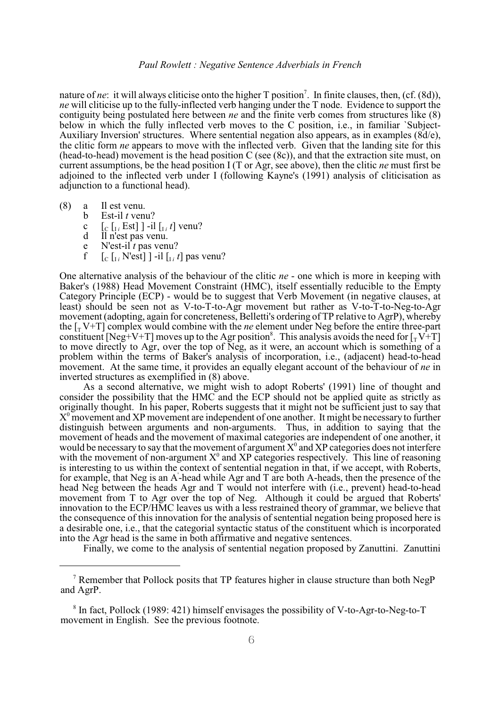nature of *ne*: it will always cliticise onto the higher T position<sup>7</sup>. In finite clauses, then, (cf. (8d)), *ne* will cliticise up to the fully-inflected verb hanging under the T node. Evidence to support the contiguity being postulated here between *ne* and the finite verb comes from structures like (8) below in which the fully inflected verb moves to the C position, i.e., in familiar `Subject-Auxiliary Inversion' structures. Where sentential negation also appears, as in examples (8d/e), the clitic form *ne* appears to move with the inflected verb. Given that the landing site for this (head-to-head) movement is the head position C (see (8c)), and that the extraction site must, on current assumptions, be the head position I (T or Agr, see above), then the clitic *ne* must first be adjoined to the inflected verb under I (following Kayne's (1991) analysis of cliticisation as adjunction to a functional head).

- (8) a Il est venu.
	- b Est-il *t* venu?
	- c  $\left[\int_{C} \left[\int_{I}^{i} Est\right] \right] -i\left[\int_{I}^{i} t\right]$  venu?
	- d Il n'est pas venu.
	- e N'est-il *t* pas venu?<br>
	f  $\left[\begin{array}{cc} \begin{array}{cc} \begin{array}{cc} \begin{array}{cc} \end{array} \\ \end{array} & \begin{array}{cc} \end{array} \\ \end{array} \right] & \begin{array}{cc} \end{array} \\ \end{array} \right]$
	- f  $\left[ \begin{array}{cc} \left[ \begin{array}{cc} \begin{bmatrix} \begin{bmatrix} \begin{bmatrix} \begin{bmatrix} \end{bmatrix} \end{bmatrix} \end{array} \right] & \text{if} \end{array} \right] & \text{if} \end{array} \right]$  [ $\left[ \begin{array}{cc} \begin{bmatrix} \begin{bmatrix} \begin{bmatrix} \end{bmatrix} \end{array} \right] & \text{if} \end{array} \right]$

One alternative analysis of the behaviour of the clitic *ne* - one which is more in keeping with Baker's (1988) Head Movement Constraint (HMC), itself essentially reducible to the Empty Category Principle (ECP) - would be to suggest that Verb Movement (in negative clauses, at least) should be seen not as V-to-T-to-Agr movement but rather as V-to-T-to-Neg-to-Agr movement (adopting, again for concreteness, Belletti's ordering of TP relative to AgrP), whereby the  $\lceil_{\tau} V + T \rceil$  complex would combine with the *ne* element under Neg before the entire three-part constituent [Neg+V+T] moves up to the Agr position<sup>8</sup>. This analysis avoids the need for  $\left[\gamma V + T\right]$ to move directly to Agr, over the top of Neg, as it were, an account which is something of a problem within the terms of Baker's analysis of incorporation, i.e., (adjacent) head-to-head movement. At the same time, it provides an equally elegant account of the behaviour of *ne* in inverted structures as exemplified in (8) above.

As a second alternative, we might wish to adopt Roberts' (1991) line of thought and consider the possibility that the HMC and the ECP should not be applied quite as strictly as originally thought. In his paper, Roberts suggests that it might not be sufficient just to say that  $X^0$  movement and XP movement are independent of one another. It might be necessary to further distinguish between arguments and non-arguments. Thus, in addition to saying that the movement of heads and the movement of maximal categories are independent of one another, it would be necessary to say that the movement of argument  $X^0$  and XP categories does not interfere with the movement of non-argument  $X^0$  and XP categories respectively. This line of reasoning is interesting to us within the context of sentential negation in that, if we accept, with Roberts, for example, that Neg is an A-head while Agr and T are both A-heads, then the presence of the ' head Neg between the heads Agr and T would not interfere with (i.e., prevent) head-to-head movement from T to Agr over the top of Neg. Although it could be argued that Roberts' innovation to the ECP/HMC leaves us with a less restrained theory of grammar, we believe that the consequence of this innovation for the analysis of sentential negation being proposed here is a desirable one, i.e., that the categorial syntactic status of the constituent which is incorporated into the Agr head is the same in both affirmative and negative sentences.

Finally, we come to the analysis of sentential negation proposed by Zanuttini. Zanuttini

<sup>&</sup>lt;sup>7</sup> Remember that Pollock posits that TP features higher in clause structure than both NegP and AgrP.

 $8$  In fact, Pollock (1989: 421) himself envisages the possibility of V-to-Agr-to-Neg-to-T movement in English. See the previous footnote.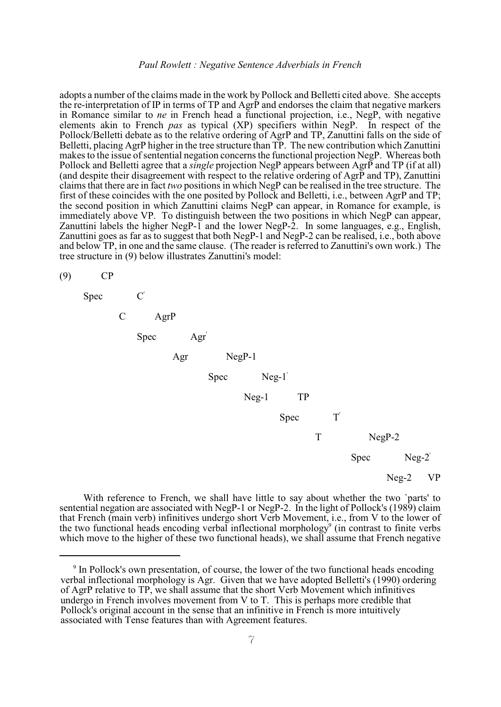adopts a number of the claims made in the work by Pollock and Belletti cited above. She accepts the re-interpretation of IP in terms of TP and AgrP and endorses the claim that negative markers in Romance similar to *ne* in French head a functional projection, i.e., NegP, with negative elements akin to French *pas* as typical (XP) specifiers within NegP. In respect of the Pollock/Belletti debate as to the relative ordering of AgrP and TP, Zanuttini falls on the side of Belletti, placing AgrP higher in the tree structure than TP. The new contribution which Zanuttini makes to the issue of sentential negation concerns the functional projection NegP. Whereas both Pollock and Belletti agree that a *single* projection NegP appears between AgrP and TP (if at all) (and despite their disagreement with respect to the relative ordering of AgrP and TP), Zanuttini claimsthat there are in fact *two* positions in which NegP can be realised in the tree structure. The first of these coincides with the one posited by Pollock and Belletti, i.e., between AgrP and TP; the second position in which Zanuttini claims NegP can appear, in Romance for example, is immediately above VP. To distinguish between the two positions in which NegP can appear, Zanuttini labels the higher NegP-1 and the lower NegP-2. In some languages, e.g., English, Zanuttini goes as far as to suggest that both NegP-1 and NegP-2 can be realised, i.e., both above and below TP, in one and the same clause. (The reader is referred to Zanuttini's own work.) The tree structure in (9) below illustrates Zanuttini's model:

(9) CP



With reference to French, we shall have little to say about whether the two `parts' to sentential negation are associated with NegP-1 or NegP-2. In the light of Pollock's (1989) claim that French (main verb) infinitives undergo short Verb Movement, i.e., from V to the lower of the two functional heads encoding verbal inflectional morphology<sup>9</sup> (in contrast to finite verbs which move to the higher of these two functional heads), we shall assume that French negative

 $\degree$  In Pollock's own presentation, of course, the lower of the two functional heads encoding verbal inflectional morphology is Agr. Given that we have adopted Belletti's (1990) ordering of AgrP relative to TP, we shall assume that the short Verb Movement which infinitives undergo in French involves movement from V to T. This is perhaps more credible that Pollock's original account in the sense that an infinitive in French is more intuitively associated with Tense features than with Agreement features.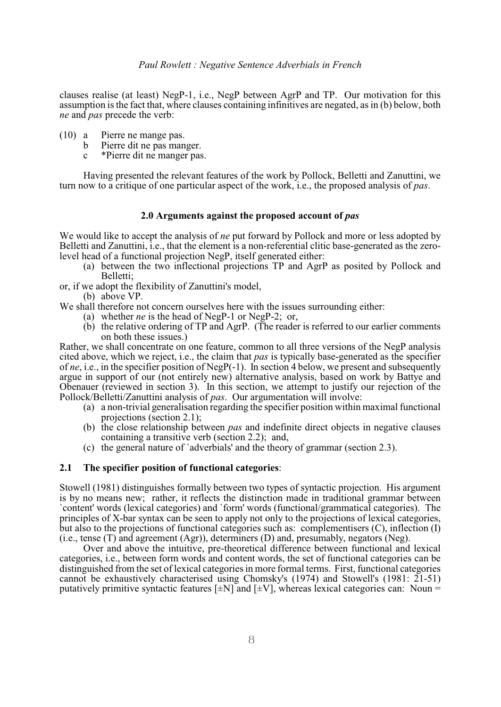clauses realise (at least) NegP-1, i.e., NegP between AgrP and TP. Our motivation for this assumption is the fact that, where clauses containing infinitives are negated, as in (b) below, both *ne* and *pas* precede the verb:

- (10) a Pierre ne mange pas.
	- b Pierre dit ne pas manger.
	- c \*Pierre dit ne manger pas.

Having presented the relevant features of the work by Pollock, Belletti and Zanuttini, we turn now to a critique of one particular aspect of the work, i.e., the proposed analysis of *pas*.

# **2.0 Arguments against the proposed account of** *pas*

We would like to accept the analysis of *ne* put forward by Pollock and more or less adopted by Belletti and Zanuttini, i.e., that the element is a non-referential clitic base-generated as the zerolevel head of a functional projection NegP, itself generated either:

- (a) between the two inflectional projections TP and AgrP as posited by Pollock and Belletti;
- or, if we adopt the flexibility of Zanuttini's model,
	- (b) above VP.
- We shall therefore not concern ourselves here with the issues surrounding either:
	- (a) whether *ne* is the head of NegP-1 or NegP-2; or,
	- (b) the relative ordering of TP and AgrP. (The reader is referred to our earlier comments on both these issues.)

Rather, we shall concentrate on one feature, common to all three versions of the NegP analysis cited above, which we reject, i.e., the claim that *pas* is typically base-generated as the specifier of *ne*, i.e., in the specifier position of NegP(-1). In section 4 below, we present and subsequently argue in support of our (not entirely new) alternative analysis, based on work by Battye and Obenauer (reviewed in section 3). In this section, we attempt to justify our rejection of the Pollock/Belletti/Zanuttini analysis of *pas*. Our argumentation will involve:

- (a) a non-trivial generalisation regarding the specifier position within maximal functional projections (section 2.1);
- (b) the close relationship between *pas* and indefinite direct objects in negative clauses containing a transitive verb (section 2.2); and,
- (c) the general nature of `adverbials' and the theory of grammar (section 2.3).

# **2.1 The specifier position of functional categories**:

Stowell (1981) distinguishes formally between two types of syntactic projection. His argument is by no means new; rather, it reflects the distinction made in traditional grammar between `content' words (lexical categories) and `form' words (functional/grammatical categories). The principles of X-bar syntax can be seen to apply not only to the projections of lexical categories, but also to the projections of functional categories such as: complementisers (C), inflection (I) (i.e., tense (T) and agreement (Agr)), determiners (D) and, presumably, negators (Neg).

Over and above the intuitive, pre-theoretical difference between functional and lexical categories, i.e., between form words and content words, the set of functional categories can be distinguished from the set of lexical categories in more formal terms. First, functional categories cannot be exhaustively characterised using Chomsky's (1974) and Stowell's (1981: 21-51) putatively primitive syntactic features  $[\pm N]$  and  $[\pm V]$ , whereas lexical categories can: Noun =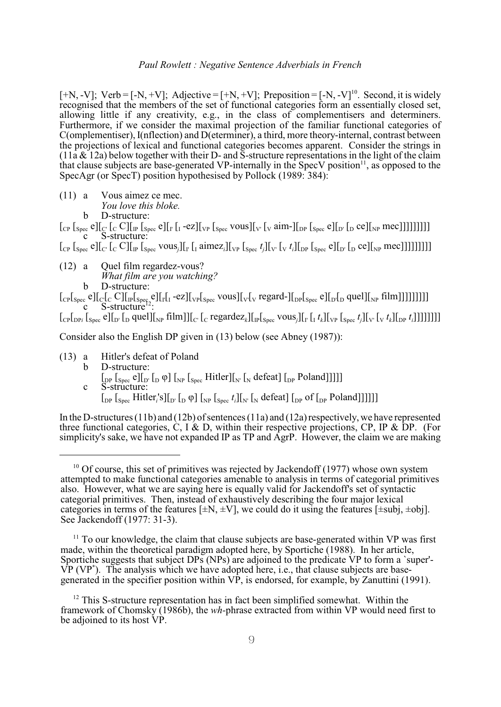$[+N, -V]$ ; Verb =  $[-N, +V]$ ; Adjective =  $[+N, +V]$ ; Preposition =  $[-N, -V]$ <sup>10</sup>. Second, it is widely recognised that the members of the set of functional categories form an essentially closed set, allowing little if any creativity, e.g., in the class of complementisers and determiners. Furthermore, if we consider the maximal projection of the familiar functional categories of C(omplementiser), I(nflection) and D(eterminer), a third, more theory-internal, contrast between the projections of lexical and functional categories becomes apparent. Consider the strings in  $(11a \& 12a)$  below together with their D- and S-structure representations in the light of the claim that clause subjects are base-generated VP-internally in the SpecV position<sup>11</sup>, as opposed to the SpecAgr (or SpecT) position hypothesised by Pollock (1989: 384):

(11) a Vous aimez ce mec.

*You love this bloke.*

b D-structure:

 $\left[\begin{smallmatrix}C_{\text{P}} \\ \text{Spec}} \text{ } \text{C} \end{smallmatrix}\right]$   $\left[\begin{smallmatrix}C \\ \text{C}} \end{smallmatrix}\right]$  $\left[\begin{smallmatrix}C \\ \text{Spec}} \text{ } \text{C} \end{smallmatrix}\right]$  $\left[\begin{smallmatrix}C \\ \text{Spec}} \text{ } \text{C} \end{smallmatrix}\right]$  $\left[\begin{smallmatrix}C \\ \text{Spec}} \text{ } \text{C} \end{smallmatrix}\right]$  $\left[\begin{smallmatrix}C \\ \text{Spec}} \text{ } \text{C} \end{smallmatrix}\right]$  $\left[\begin{smallmatrix}C \\ \text{Spec}} \text{$ c S-structure:

 $\int_{\text{CPI}} \int_{\text{Spec}} e \left\| \int_{\text{C}} \int_{\text{C}} \text{C} \right\|_{\text{CP}} \int_{\text{Spec}} \text{Vous}_{i} \left\| \int_{\text{V}} \int_{\text{I}} \text{aimez}_{i} \right\|_{\text{VP}} \int_{\text{Spec}} t_{i} \left\| \int_{\text{V}} \int_{\text{V}} t_{i} \right\|_{\text{DP}} \int_{\text{Spec}} e \left\| \int_{\text{V}} \int_{\text{D}} \text{ce} \right\|_{\text{NP}} \text{mec}$ 

(12) a Quel film regardez-vous? *What film are you watching?* b D-structure:

 $\lceil \frac{\text{Cp}}{\text{Cp}} \rceil_{\text{Spec}} e \rceil_{\text{Cp}} \rceil_{\text{Cp}} \rceil_{\text{Spec}} e \rceil_{\text{Cp}} \lceil \frac{\text{Cp}}{\text{Cp}} \rceil_{\text{Spec}} e \rceil_{\text{Cp}} \rceil_{\text{Cp}} \rceil_{\text{Cp}} \rceil_{\text{Cp}} \rceil_{\text{Cp}} \rceil_{\text{Cp}} \rceil_{\text{Cp}} \rceil_{\text{Cp}} \rceil_{\text{Cp}} \rceil_{\text{Cp}} \rceil_{\text{Cp}} \rceil_{\text{Cp}} \rceil_{\text$  $\rm c$  S-structure<sup>12</sup>:

CP DP*i* Spec D' D NP C' C *k* IP Spec *j* I' I *k* VP Spec *j* V' V *k* DP *i* [ [ [ e][ [ quel][ film]][ [ regardez ][ [ vous][ [ *t* ][ [ *t* ][ [ *t* ][ *t* ]]]]]]]]

Consider also the English DP given in (13) below (see Abney (1987)):

(13) a Hitler's defeat of Poland b D-structure:  $\left[\begin{smallmatrix}D_P & \Bbbk_{\text{Spec}}\end{smallmatrix}\right]$   $\left[\begin{smallmatrix}D & \phi\end{smallmatrix}\right]$   $\left[\begin{smallmatrix}N_P & \Bbbk_{\text{Spec}}\end{smallmatrix}\right]$  Hitler] $\left[\begin{smallmatrix}N_I & \Bbbk_I\end{smallmatrix}\right]$   $\left[\begin{smallmatrix}N_I & \bbbk_I\end{smallmatrix}\right]$  and  $\left[\begin{smallmatrix}N_I & \bbbk_I\end{smallmatrix}\right]$ c S-structure:  $\sum_{\text{Lip}}$   $\sum_{\text{Spec}}$  *Hitler*'s][<sub>D'</sub>  $\sum_{\text{Lip}}$   $\varphi$ ]  $\sum_{\text{Nip}}$   $\sum_{\text{Spec}} t_i$ ][<sub>N'</sub>  $\sum_{\text{Lip}}$  defeat]  $\sum_{\text{Lip}}$  of  $\sum_{\text{Lip}}$  Poland]]]]]]

In the D-structures (11b) and (12b) of sentences (11a) and (12a) respectively, we have represented three functional categories,  $\dot{C}$ , I & D, within their respective projections,  $CP$ , IP & DP. (For simplicity's sake, we have not expanded IP as TP and AgrP. However, the claim we are making

 $11$  To our knowledge, the claim that clause subjects are base-generated within VP was first made, within the theoretical paradigm adopted here, by Sportiche (1988). In her article, Sportiche suggests that subject DPs (NPs) are adjoined to the predicate VP to form a `super'-  $\overline{VP}$  (VP<sup>\*</sup>). The analysis which we have adopted here, i.e., that clause subjects are basegenerated in the specifier position within VP, is endorsed, for example, by Zanuttini (1991).

 $10$  Of course, this set of primitives was rejected by Jackendoff (1977) whose own system attempted to make functional categories amenable to analysis in terms of categorial primitives also. However, what we are saying here is equally valid for Jackendoff's set of syntactic categorial primitives. Then, instead of exhaustively describing the four major lexical categories in terms of the features  $[\pm N, \pm V]$ , we could do it using the features  $[\pm subi, \pm obj]$ . See Jackendoff (1977: 31-3).

 $12$  This S-structure representation has in fact been simplified somewhat. Within the framework of Chomsky (1986b), the *wh-*phrase extracted from within VP would need first to be adjoined to its host VP.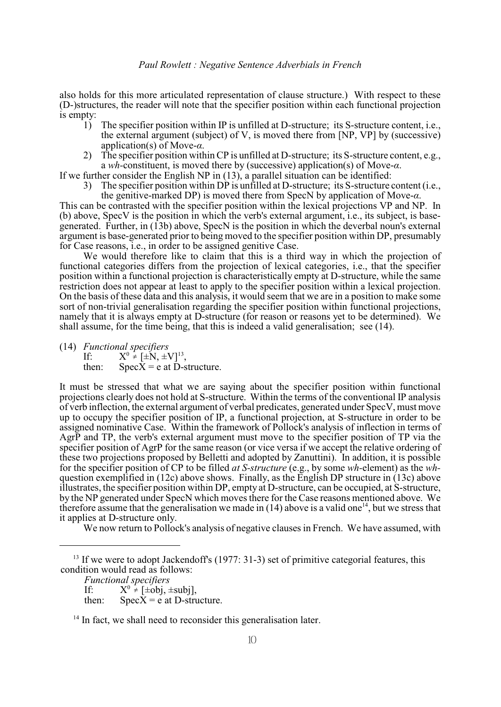also holds for this more articulated representation of clause structure.) With respect to these (D-)structures, the reader will note that the specifier position within each functional projection is empty:<br> $\frac{1}{1}$ 

- The specifier position within IP is unfilled at D-structure; its S-structure content, i.e., the external argument (subject) of V, is moved there from [NP, VP] by (successive) application(s) of Move-*á*.
- 2) The specifier position within CP is unfilled at D-structure; its S-structure content, e.g., a *wh-*constituent, is moved there by (successive) application(s) of Move-*á*.

If we further consider the English NP in (13), a parallel situation can be identified:

3) The specifier position within DP is unfilled at D-structure; its S-structure content (i.e., the genitive-marked DP) is moved there from SpecN by application of Move-*á*.

This can be contrasted with the specifier position within the lexical projections VP and NP. In (b) above, SpecV is the position in which the verb's external argument, i.e., its subject, is basegenerated. Further, in (13b) above, SpecN is the position in which the deverbal noun's external argument is base-generated prior to being moved to the specifier position within DP, presumably for Case reasons, i.e., in order to be assigned genitive Case.

We would therefore like to claim that this is a third way in which the projection of functional categories differs from the projection of lexical categories, i.e., that the specifier position within a functional projection is characteristically empty at D-structure, while the same restriction does not appear at least to apply to the specifier position within a lexical projection. On the basis of these data and this analysis, it would seem that we are in a position to make some sort of non-trivial generalisation regarding the specifier position within functional projections, namely that it is always empty at D-structure (for reason or reasons yet to be determined). We shall assume, for the time being, that this is indeed a valid generalisation; see (14).

(14) *Functional specifiers*<br>If:  $X^0 \neq [\pm N, \pm N]$ If:  $X^0 \neq [\pm N, \pm V]^{13}$ , then:  $Spec X = e$  at D-structure.

It must be stressed that what we are saying about the specifier position within functional projections clearly does not hold at S-structure. Within the terms of the conventional IP analysis of verb inflection, the external argument of verbal predicates, generated under SpecV, must move up to occupy the specifier position of IP, a functional projection, at S-structure in order to be assigned nominative Case. Within the framework of Pollock's analysis of inflection in terms of AgrP and TP, the verb's external argument must move to the specifier position of TP via the specifier position of AgrP for the same reason (or vice versa if we accept the relative ordering of these two projections proposed by Belletti and adopted by Zanuttini). In addition, it is possible for the specifier position of CP to be filled *at S-structure* (e.g., by some *wh-*element) as the *wh*question exemplified in (12c) above shows. Finally, as the English DP structure in (13c) above illustrates, the specifier position within DP, empty at D-structure, can be occupied, at S-structure, by the NP generated under SpecN which moves there for the Case reasons mentioned above. We therefore assume that the generalisation we made in (14) above is a valid one<sup>14</sup>, but we stress that it applies at D-structure only.

We now return to Pollock's analysis of negative clauses in French. We have assumed, with

then:  $SpecX = e$  at D-structure.

 $13$  If we were to adopt Jackendoff's (1977: 31-3) set of primitive categorial features, this condition would read as follows:

*Functional specifiers*

If:  $X^0 \neq [\pm \text{obj}, \pm \text{subj}],$ 

 $14$  In fact, we shall need to reconsider this generalisation later.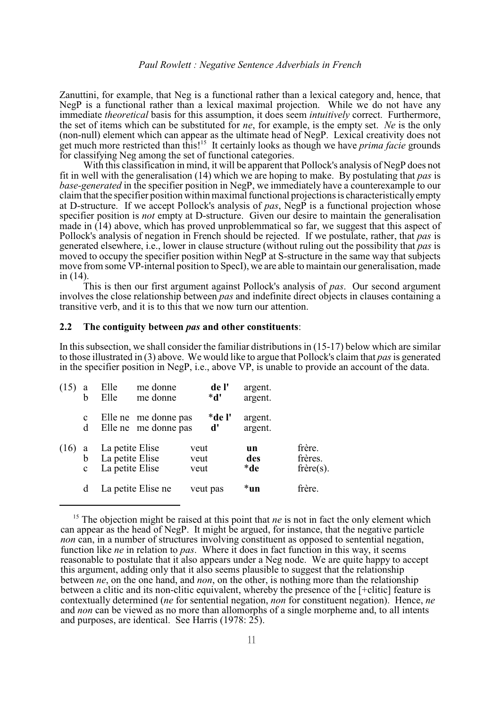Zanuttini, for example, that Neg is a functional rather than a lexical category and, hence, that NegP is a functional rather than a lexical maximal projection. While we do not have any immediate *theoretical* basis for this assumption, it does seem *intuitively* correct. Furthermore, the set of items which can be substituted for *ne*, for example, is the empty set. *Ne* is the only (non-null) element which can appear as the ultimate head of NegP. Lexical creativity does not get much more restricted than this!<sup>15</sup> It certainly looks as though we have *prima facie* grounds for classifying Neg among the set of functional categories.

With this classification in mind, it will be apparent that Pollock's analysis of NegP does not fit in well with the generalisation (14) which we are hoping to make. By postulating that *pas* is *base-generated* in the specifier position in NegP, we immediately have a counterexample to our claim that the specifier position within maximal functional projectionsis characteristically empty at D-structure. If we accept Pollock's analysis of *pas*, NegP is a functional projection whose specifier position is *not* empty at D-structure. Given our desire to maintain the generalisation made in (14) above, which has proved unproblemmatical so far, we suggest that this aspect of Pollock's analysis of negation in French should be rejected. If we postulate, rather, that *pas* is generated elsewhere, i.e., lower in clause structure (without ruling out the possibility that *pas* is moved to occupy the specifier position within NegP at S-structure in the same way that subjects move from some VP-internal position to SpecI), we are able to maintain our generalisation, made in (14).

This is then our first argument against Pollock's analysis of *pas*. Our second argument involves the close relationship between *pas* and indefinite direct objects in clauses containing a transitive verb, and it is to this that we now turn our attention.

# **2.2 The contiguity between** *pas* **and other constituents**:

In this subsection, we shall consider the familiar distributions in (15-17) below which are similar to those illustrated in (3) above. We would like to argue that Pollock's claim that *pas* is generated in the specifier position in NegP, i.e., above VP, is unable to provide an account of the data.

| (15) | a<br>h                   | Elle<br>Elle                                          | me donne<br>me donne                         | de l'<br>$^*d'$      |           | argent.<br>argent. |                                            |
|------|--------------------------|-------------------------------------------------------|----------------------------------------------|----------------------|-----------|--------------------|--------------------------------------------|
|      | $\mathbf c$<br>d         |                                                       | Elle ne me donne pas<br>Elle ne me donne pas | *de l'<br>d'         |           | argent.<br>argent. |                                            |
| (16) | - a<br>b<br>$\mathbf{c}$ | La petite Elise<br>La petite Elise<br>La petite Elise |                                              | veut<br>veut<br>veut | un<br>*de | des                | frère.<br>frères.<br>$f \r{r}$ ere $(s)$ . |
|      | d                        |                                                       | La petite Elise ne                           | veut pas             | *un       |                    | frère.                                     |

 $<sup>15</sup>$  The objection might be raised at this point that *ne* is not in fact the only element which</sup> can appear as the head of NegP. It might be argued, for instance, that the negative particle *non* can, in a number of structures involving constituent as opposed to sentential negation, function like *ne* in relation to *pas*. Where it does in fact function in this way, it seems reasonable to postulate that it also appears under a Neg node. We are quite happy to accept this argument, adding only that it also seems plausible to suggest that the relationship between *ne*, on the one hand, and *non*, on the other, is nothing more than the relationship between a clitic and its non-clitic equivalent, whereby the presence of the [+clitic] feature is contextually determined (*ne* for sentential negation, *non* for constituent negation). Hence, *ne* and *non* can be viewed as no more than allomorphs of a single morpheme and, to all intents and purposes, are identical. See Harris (1978: 25).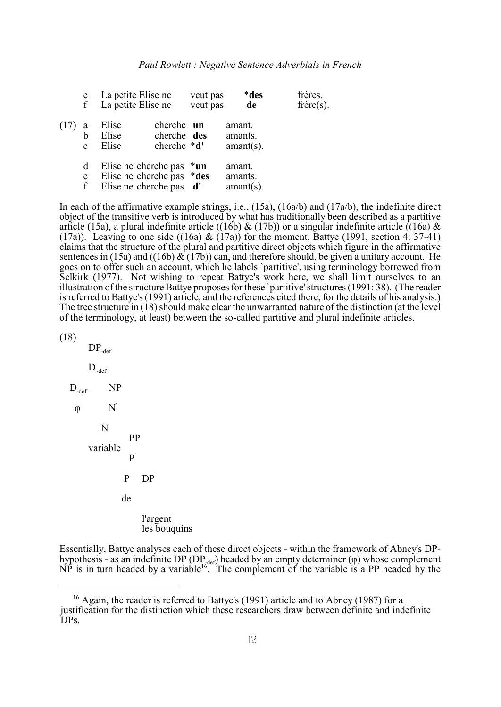|      | e<br>f                 | La petite Elise ne<br>La petite Elise ne                                         |                                                    | veut pas<br>veut pas | *des<br>de                        | frères.<br>$f$ rère $(s)$ . |
|------|------------------------|----------------------------------------------------------------------------------|----------------------------------------------------|----------------------|-----------------------------------|-----------------------------|
| (17) | a<br>b<br>$\mathbf{c}$ | Elise<br>Elise<br>Elise                                                          | cherche un<br>cherche des<br>cherche $\mathbf{d}'$ |                      | amant.<br>amants.<br>$amant(s)$ . |                             |
|      | d<br>e<br>f            | Elise ne cherche pas $*$ un<br>Elise ne cherche pas *des<br>Elise ne cherche pas |                                                    | d'                   | amant.<br>amants.<br>$amant(s)$ . |                             |

In each of the affirmative example strings, i.e., (15a), (16a/b) and (17a/b), the indefinite direct object of the transitive verb is introduced by what has traditionally been described as a partitive article (15a), a plural indefinite article ((16b) & (17b)) or a singular indefinite article ((16a) & (17a)). Leaving to one side ((16a) &  $(17a)$ ) for the moment, Battye (1991, section 4: 37-41) claims that the structure of the plural and partitive direct objects which figure in the affirmative sentences in (15a) and ((16b)  $\&$  (17b)) can, and therefore should, be given a unitary account. He goes on to offer such an account, which he labels `partitive', using terminology borrowed from Selkirk (1977). Not wishing to repeat Battye's work here, we shall limit ourselves to an illustration of the structure Battye proposes for these `partitive'structures (1991: 38). (The reader is referred to Battye's (1991) article, and the references cited there, for the details of his analysis.) The tree structure in (18) should make clear the unwarranted nature of the distinction (at the level of the terminology, at least) between the so-called partitive and plural indefinite articles.

```
(18)
```
 $DP_{\text{def}}$  $D'_{def}$  $D_{\textrm{\tiny{def}}}$  NP  $\varphi$  N' N PP variable P' P DP de l'argent les bouquins

Essentially, Battye analyses each of these direct objects - within the framework of Abney's DPhypothesis - as an indefinite DP (DP  $_{z^{\text{def}}}$ ) headed by an empty determiner ( $\varphi$ ) whose complement  $\overrightarrow{NP}$  is in turn headed by a variable<sup>16</sup>. The complement of the variable is a PP headed by the

 $^{16}$  Again, the reader is referred to Battye's (1991) article and to Abney (1987) for a justification for the distinction which these researchers draw between definite and indefinite DPs.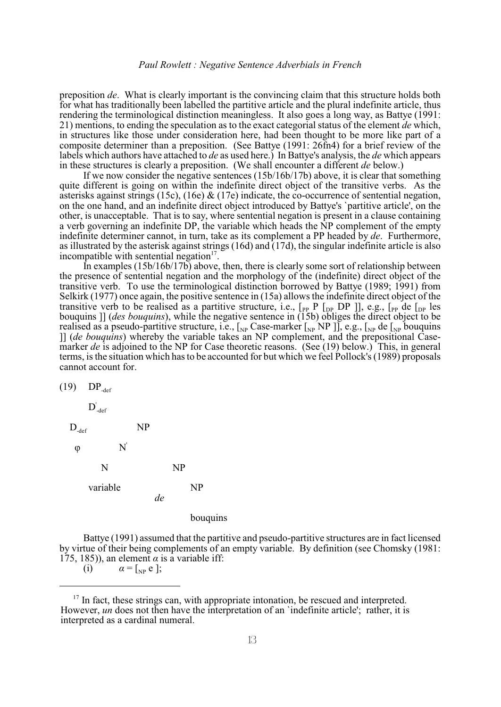preposition *de*. What is clearly important is the convincing claim that this structure holds both for what has traditionally been labelled the partitive article and the plural indefinite article, thus rendering the terminological distinction meaningless. It also goes a long way, as Battye (1991: 21) mentions, to ending the speculation as to the exact categorial status of the element *de* which, in structures like those under consideration here, had been thought to be more like part of a composite determiner than a preposition. (See Battye (1991: 26fn4) for a brief review of the labels which authors have attached to *de* as used here.) In Battye's analysis, the *de* which appears in these structures is clearly a preposition. (We shall encounter a different *de* below.)

If we now consider the negative sentences (15b/16b/17b) above, it is clear that something quite different is going on within the indefinite direct object of the transitive verbs. As the asterisks against strings (15c), (16e) & (17e) indicate, the co-occurrence of sentential negation, on the one hand, and an indefinite direct object introduced by Battye's `partitive article', on the other, is unacceptable. That is to say, where sentential negation is present in a clause containing a verb governing an indefinite DP, the variable which heads the NP complement of the empty indefinite determiner cannot, in turn, take as its complement a PP headed by *de*. Furthermore, as illustrated by the asterisk against strings (16d) and (17d), the singular indefinite article is also incompatible with sentential negation<sup>17</sup>.

In examples  $(15b/16b/17b)$  above, then, there is clearly some sort of relationship between the presence of sentential negation and the morphology of the (indefinite) direct object of the transitive verb. To use the terminological distinction borrowed by Battye (1989; 1991) from Selkirk (1977) once again, the positive sentence in (15a) allows the indefinite direct object of the transitive verb to be realised as a partitive structure, i.e.,  $\lbrack_{PP} P \rbrack_{DP}$  DP ]], e.g.,  $\lbrack_{PP}$  de  $\lbrack_{DP}$  les bouquins ]] (*des bouquins*), while the negative sentence in (15b) obliges the direct object to be realised as a pseudo-partitive structure, i.e.,  $\left[\chi_P\right]$  Case-marker  $\left[\chi_P\right]$  NP ]], e.g.,  $\left[\chi_P\right]$  de  $\left[\chi_P\right]$  bouquins ]] (*de bouquins*) whereby the variable takes an NP complement, and the prepositional Casemarker *de* is adjoined to the NP for Case theoretic reasons. (See (19) below.) This, in general terms, is the situation which has to be accounted for but which we feel Pollock's (1989) proposals cannot account for.



#### bouquins

Battye (1991) assumed that the partitive and pseudo-partitive structures are in fact licensed by virtue of their being complements of an empty variable. By definition (see Chomsky (1981: 175, 185)), an element  $\alpha$  is a variable iff:

(i)  $\alpha = \begin{bmatrix} 0 & \alpha \\ 0 & \alpha \end{bmatrix}$ ;

 $17$  In fact, these strings can, with appropriate intonation, be rescued and interpreted. However, *un* does not then have the interpretation of an 'indefinite article'; rather, it is interpreted as a cardinal numeral.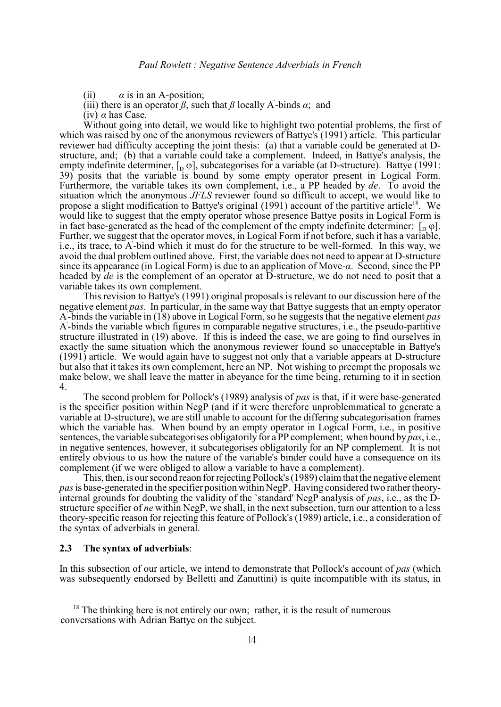(ii)  $\alpha$  is in an A-position;

(iii) there is an operator  $\beta$ , such that  $\beta$  locally A-binds  $\alpha$ ; and

(iv)  $\alpha$  has Case.

Without going into detail, we would like to highlight two potential problems, the first of which was raised by one of the anonymous reviewers of Battye's (1991) article. This particular reviewer had difficulty accepting the joint thesis: (a) that a variable could be generated at Dstructure, and; (b) that a variable could take a complement. Indeed, in Battye's analysis, the empty indefinite determiner,  $\begin{bmatrix} 1 & \varphi \end{bmatrix}$ , subcategorises for a variable (at D-structure). Battye (1991: 39) posits that the variable is bound by some empty operator present in Logical Form. Furthermore, the variable takes its own complement, i.e., a PP headed by *de*. To avoid the situation which the anonymous *JFLS* reviewer found so difficult to accept, we would like to propose a slight modification to Battye's original  $(1991)$  account of the partitive article<sup>18</sup>. We would like to suggest that the empty operator whose presence Battye posits in Logical Form is in fact base-generated as the head of the complement of the empty indefinite determiner:  $\begin{bmatrix} 0 & \varphi \end{bmatrix}$ . Further, we suggest that the operator moves, in Logical Form if not before, such it has a variable, i.e., its trace, to A-bind which it must do for the structure to be well-formed. In this way, we ' avoid the dual problem outlined above. First, the variable does not need to appear at D-structure since its appearance (in Logical Form) is due to an application of Move-*á*. Second, since the PP headed by *de* is the complement of an operator at D-structure, we do not need to posit that a variable takes its own complement.

This revision to Battye's (1991) original proposals is relevant to our discussion here of the negative element *pas*. In particular, in the same way that Battye suggests that an empty operator A-binds the variable in (18) above in Logical Form, so he suggests that the negative element *pas* ' A-binds the variable which figures in comparable negative structures, i.e., the pseudo-partitive ' structure illustrated in (19) above. If this is indeed the case, we are going to find ourselves in exactly the same situation which the anonymous reviewer found so unacceptable in Battye's (1991) article. We would again have to suggest not only that a variable appears at D-structure but also that it takes its own complement, here an NP. Not wishing to preempt the proposals we make below, we shall leave the matter in abeyance for the time being, returning to it in section 4.

The second problem for Pollock's (1989) analysis of *pas* is that, if it were base-generated is the specifier position within NegP (and if it were therefore unproblemmatical to generate a variable at D-structure), we are still unable to account for the differing subcategorisation frames which the variable has. When bound by an empty operator in Logical Form, *i.e.*, in positive sentences, the variable subcategorises obligatorily for a PP complement; when bound by *pas*, i.e., in negative sentences, however, it subcategorises obligatorily for an NP complement. It is not entirely obvious to us how the nature of the variable's binder could have a consequence on its complement (if we were obliged to allow a variable to have a complement).

This, then, is our second reaon for rejecting Pollock's (1989) claim that the negative element *pas* is base-generated in the specifier position within NegP. Having considered two rather theoryinternal grounds for doubting the validity of the `standard' NegP analysis of *pas*, i.e., as the Dstructure specifier of *ne* within NegP, we shall, in the next subsection, turn our attention to a less theory-specific reason for rejecting this feature of Pollock's (1989) article, i.e., a consideration of the syntax of adverbials in general.

#### **2.3 The syntax of adverbials**:

In this subsection of our article, we intend to demonstrate that Pollock's account of *pas* (which was subsequently endorsed by Belletti and Zanuttini) is quite incompatible with its status, in

 $18$  The thinking here is not entirely our own; rather, it is the result of numerous conversations with Adrian Battye on the subject.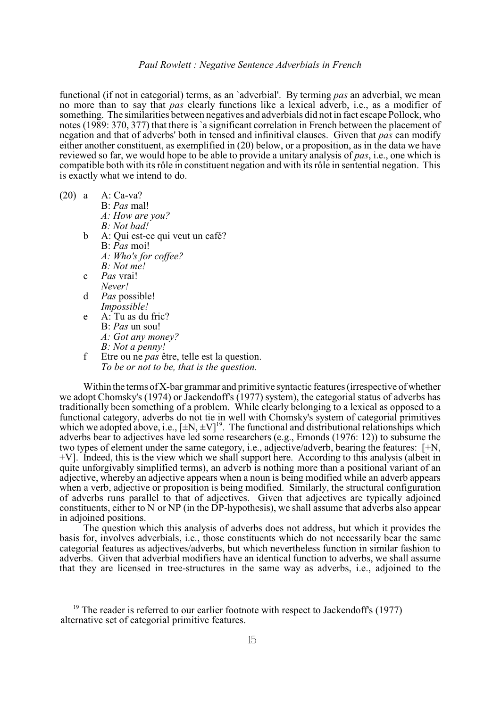functional (if not in categorial) terms, as an `adverbial'. By terming *pas* an adverbial, we mean no more than to say that *pas* clearly functions like a lexical adverb, i.e., as a modifier of something. The similarities between negatives and adverbials did not in fact escape Pollock, who notes (1989: 370, 377) that there is `a significant correlation in French between the placement of negation and that of adverbs' both in tensed and infinitival clauses. Given that *pas* can modify either another constituent, as exemplified in (20) below, or a proposition, as in the data we have reviewed so far, we would hope to be able to provide a unitary analysis of *pas*, i.e., one which is compatible both with itsrôle in constituent negation and with its rôle in sentential negation. This is exactly what we intend to do.

(20) a A: Ca-va? B: *Pas* mal! *A: How are you? B: Not bad!* b A: Qui est-ce qui veut un café? B: *Pas* moi! *A: Who's for coffee? B: Not me!* c *Pas* vrai! *Never!* d *Pas* possible! *Impossible!* e A: Tu as du fric? B: *Pas* un sou! *A: Got any money? B: Not a penny!*

f Etre ou ne *pas* être, telle est la question. *To be or not to be, that is the question.*

Within the terms of X-bar grammar and primitive syntactic features (irrespective of whether we adopt Chomsky's (1974) or Jackendoff's (1977) system), the categorial status of adverbs has traditionally been something of a problem. While clearly belonging to a lexical as opposed to a functional category, adverbs do not tie in well with Chomsky's system of categorial primitives which we adopted above, i.e.,  $[\pm N, \pm V]^9$ . The functional and distributional relationships which adverbs bear to adjectives have led some researchers (e.g., Emonds (1976: 12)) to subsume the two types of element under the same category, i.e., adjective/adverb, bearing the features: [+N, +V]. Indeed, this is the view which we shall support here. According to this analysis (albeit in quite unforgivably simplified terms), an adverb is nothing more than a positional variant of an adjective, whereby an adjective appears when a noun is being modified while an adverb appears when a verb, adjective or proposition is being modified. Similarly, the structural configuration of adverbs runs parallel to that of adjectives. Given that adjectives are typically adjoined constituents, either to  $N'$  or  $NP$  (in the DP-hypothesis), we shall assume that adverbs also appear in adjoined positions.

The question which this analysis of adverbs does not address, but which it provides the basis for, involves adverbials, i.e., those constituents which do not necessarily bear the same categorial features as adjectives/adverbs, but which nevertheless function in similar fashion to adverbs. Given that adverbial modifiers have an identical function to adverbs, we shall assume that they are licensed in tree-structures in the same way as adverbs, i.e., adjoined to the

 $19$ <sup>19</sup> The reader is referred to our earlier footnote with respect to Jackendoff's (1977) alternative set of categorial primitive features.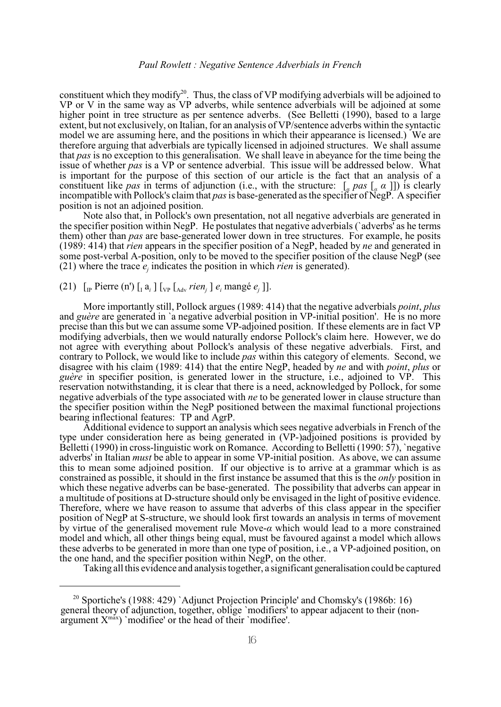constituent which they modify<sup>20</sup>. Thus, the class of VP modifying adverbials will be adjoined to VP or V in the same way as VP adverbs, while sentence adverbials will be adjoined at some higher point in tree structure as per sentence adverbs. (See Belletti (1990), based to a large extent, but not exclusively, on Italian, for an analysis of VP/sentence adverbs within the syntactic model we are assuming here, and the positions in which their appearance is licensed.) We are therefore arguing that adverbials are typically licensed in adjoined structures. We shall assume that *pas* is no exception to this generalisation. We shall leave in abeyance for the time being the issue of whether *pas* is a VP or sentence adverbial. This issue will be addressed below. What is important for the purpose of this section of our article is the fact that an analysis of a constituent like *pas* in terms of adjunction (i.e., with the structure:  $\left[ \begin{array}{c} a \\ a \end{array} \right]$ ) is clearly incompatible with Pollock's claim that *pas*is base-generated as the specifier of NegP. A specifier position is not an adjoined position.

Note also that, in Pollock's own presentation, not all negative adverbials are generated in the specifier position within NegP. He postulates that negative adverbials (`adverbs' as he terms them) other than *pas* are base-generated lower down in tree structures. For example, he posits (1989: 414) that *rien* appears in the specifier position of a NegP, headed by *ne* and generated in some post-verbal A-position, only to be moved to the specifier position of the clause NegP (see (21) where the trace  $e_j$  indicates the position in which *rien* is generated).

# $(21)$  [<sub>IP</sub> Pierre (n') [<sub>I</sub> a<sub>i</sub> ] [<sub>VP</sub> [<sub>Adv</sub> *rien<sub>j</sub>* ]  $e_i$  mangé  $e_j$  ]].

More importantly still, Pollock argues (1989: 414) that the negative adverbials *point*, *plus* and *guère* are generated in *`a* negative adverbial position in VP-initial position'. He is no more precise than this but we can assume some VP-adjoined position. If these elements are in fact VP modifying adverbials, then we would naturally endorse Pollock's claim here. However, we do not agree with everything about Pollock's analysis of these negative adverbials. First, and contrary to Pollock, we would like to include *pas* within this category of elements. Second, we disagree with his claim (1989: 414) that the entire NegP, headed by *ne* and with *point*, *plus* or *guère* in specifier position, is generated lower in the structure, i.e., adjoined to VP. This reservation notwithstanding, it is clear that there is a need, acknowledged by Pollock, for some negative adverbials of the type associated with *ne* to be generated lower in clause structure than the specifier position within the NegP positioned between the maximal functional projections bearing inflectional features: TP and AgrP.

Additional evidence to support an analysis which sees negative adverbials in French of the type under consideration here as being generated in (VP-)adjoined positions is provided by Belletti (1990) in cross-linguistic work on Romance. According to Belletti (1990: 57), `negative adverbs' in Italian *must* be able to appear in some VP-initial position. As above, we can assume this to mean some adjoined position. If our objective is to arrive at a grammar which is as constrained as possible, it should in the first instance be assumed that this is the *only* position in which these negative adverbs can be base-generated. The possibility that adverbs can appear in a multitude of positions at D-structure should only be envisaged in the light of positive evidence. Therefore, where we have reason to assume that adverbs of this class appear in the specifier position of NegP at S-structure, we should look first towards an analysis in terms of movement by virtue of the generalised movement rule Move- $\alpha$  which would lead to a more constrained model and which, all other things being equal, must be favoured against a model which allows these adverbs to be generated in more than one type of position, i.e., a VP-adjoined position, on the one hand, and the specifier position within NegP, on the other.

Taking all this evidence and analysis together, a significant generalisation could be captured

<sup>&</sup>lt;sup>20</sup> Sportiche's (1988: 429) `Adjunct Projection Principle' and Chomsky's (1986b: 16) general theory of adjunction, together, oblige `modifiers' to appear adjacent to their (non- $\alpha$  argument  $X^{\text{max}}$ ) `modifiee' or the head of their `modifiee'.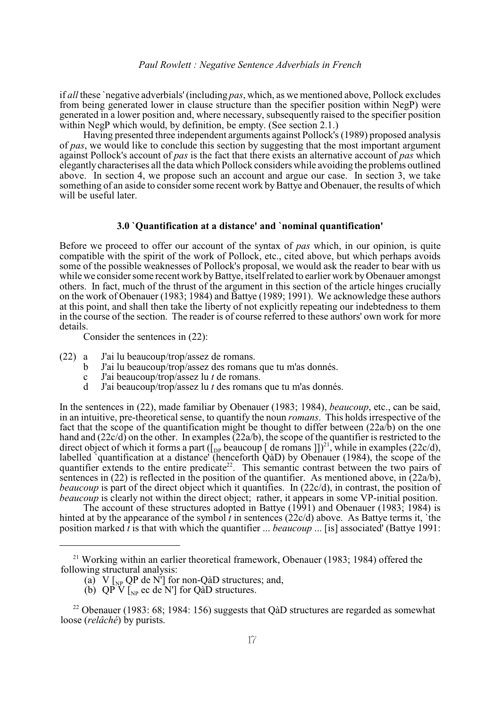if *all* these `negative adverbials' (including *pas*, which, as we mentioned above, Pollock excludes from being generated lower in clause structure than the specifier position within NegP) were generated in a lower position and, where necessary, subsequently raised to the specifier position within NegP which would, by definition, be empty. (See section 2.1.)

Having presented three independent arguments against Pollock's (1989) proposed analysis of *pas*, we would like to conclude this section by suggesting that the most important argument against Pollock's account of *pas* is the fact that there exists an alternative account of *pas* which elegantly characterises all the data which Pollock considers while avoiding the problems outlined above. In section 4, we propose such an account and argue our case. In section 3, we take something of an aside to consider some recent work by Battye and Obenauer, the results of which will be useful later.

### **3.0 `Quantification at a distance' and `nominal quantification'**

Before we proceed to offer our account of the syntax of *pas* which, in our opinion, is quite compatible with the spirit of the work of Pollock, etc., cited above, but which perhaps avoids some of the possible weaknesses of Pollock's proposal, we would ask the reader to bear with us while we consider some recent work by Battye, itself related to earlier work by Obenauer amongst others. In fact, much of the thrust of the argument in this section of the article hinges crucially on the work of Obenauer (1983; 1984) and Battye (1989; 1991). We acknowledge these authors at this point, and shall then take the liberty of not explicitly repeating our indebtedness to them in the course of the section. The reader is of course referred to these authors' own work for more details.

Consider the sentences in (22):

- (22) a J'ai lu beaucoup/trop/assez de romans.
	- b J'ai lu beaucoup/trop/assez des romans que tu m'as donnés.
	- c J'ai beaucoup/trop/assez lu *t* de romans.
	- d J'ai beaucoup/trop/assez lu *t* des romans que tu m'as donnés.

In the sentences in (22), made familiar by Obenauer (1983; 1984), *beaucoup*, etc., can be said, in an intuitive, pre-theoretical sense, to quantify the noun *romans*. This holds irrespective of the fact that the scope of the quantification might be thought to differ between  $(22a/b)$  on the one hand and (22c/d) on the other. In examples (22a/b), the scope of the quantifier is restricted to the direct object of which it forms a part ( $\begin{bmatrix} p_{\text{P}} \\ \text{P}} \end{bmatrix}$  de romans  $\begin{bmatrix} 1 \end{bmatrix}$ )<sup>21</sup>, while in examples (22c/d), labelled `quantification at a distance' (henceforth QàD) by Obenauer (1984), the scope of the quantifier extends to the entire predicate<sup>22</sup>. This semantic contrast between the two pairs of sentences in (22) is reflected in the position of the quantifier. As mentioned above, in  $(22a/b)$ , *beaucoup* is part of the direct object which it quantifies. In (22c/d), in contrast, the position of *beaucoup* is clearly not within the direct object; rather, it appears in some VP-initial position.

The account of these structures adopted in Battye (1991) and Obenauer (1983; 1984) is hinted at by the appearance of the symbol  $\tilde{t}$  in sentences (22c/d) above. As Battye terms it, 'the position marked  $\hat{t}$  is that with which the quantifier ... *beaucoup* ... [is] associated' (Battye 1991:

<sup>&</sup>lt;sup>21</sup> Working within an earlier theoretical framework, Obenauer (1983; 1984) offered the following structural analysis:

<sup>(</sup>a) V  $\left[_{NP}$  QP de N'] for non-QàD structures; and,

<sup>(</sup>b)  $QP V$  [ $_{NP}$  ec de N'] for QàD structures.

<sup>&</sup>lt;sup>22</sup> Obenauer (1983: 68; 1984: 156) suggests that Q aD structures are regarded as somewhat loose (*relâché*) by purists.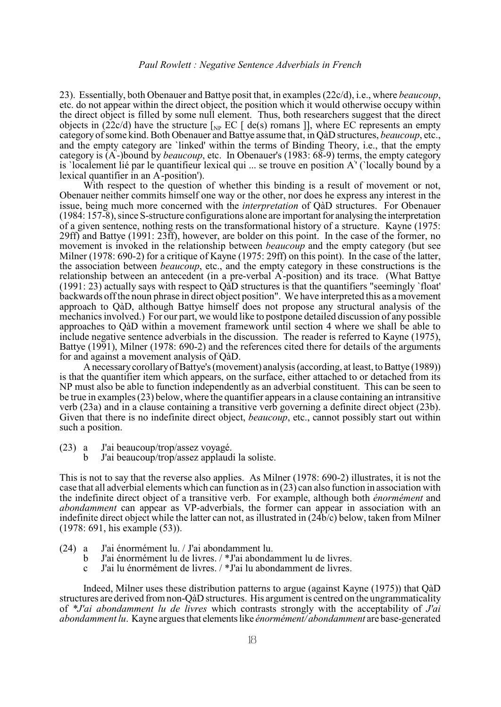23). Essentially, both Obenauer and Battye posit that, in examples (22c/d), i.e., where *beaucoup*, etc. do not appear within the direct object, the position which it would otherwise occupy within the direct object is filled by some null element. Thus, both researchers suggest that the direct objects in (22c/d) have the structure  $\lceil_{\text{NP}}$  EC  $\lceil$  de(s) romans  $\rceil$ , where EC represents an empty category of some kind. Both Obenauer and Battye assume that, in QàD structures, *beaucoup*, etc., and the empty category are 'linked' within the terms of Binding Theory, i.e., that the empty category is (A-)bound by *beaucoup*, etc. In Obenauer's (1983: 68-9) terms, the empty category ' is `localement lié par le quantifieur lexical qui ... se trouve en position A' (`locally bound by a ' lexical quantifier in an A-position'). '

With respect to the question of whether this binding is a result of movement or not, Obenauer neither commits himself one way or the other, nor does he express any interest in the issue, being much more concerned with the *interpretation* of QàD structures. For Obenauer (1984: 157-8), since S-structure configurations alone are important for analysing the interpretation of a given sentence, nothing rests on the transformational history of a structure. Kayne (1975: 29ff) and Battye (1991: 23ff), however, are bolder on this point. In the case of the former, no movement is invoked in the relationship between *beaucoup* and the empty category (but see Milner (1978: 690-2) for a critique of Kayne (1975: 29ff) on this point). In the case of the latter, the association between *beaucoup*, etc., and the empty category in these constructions is the relationship between an antecedent (in a pre-verbal A-position) and its trace. (What Battye (1991: 23) actually says with respect to QàD structures is that the quantifiers "seemingly `float' backwards off the noun phrase in direct object position". We have interpreted this as a movement approach to QàD, although Battye himself does not propose any structural analysis of the mechanics involved.) For our part, we would like to postpone detailed discussion of any possible approaches to QàD within a movement framework until section 4 where we shall be able to include negative sentence adverbials in the discussion. The reader is referred to Kayne (1975), Battye (1991), Milner (1978: 690-2) and the references cited there for details of the arguments for and against a movement analysis of QàD.

A necessary corollary of Battye's (movement) analysis (according, at least, to Battye (1989)) is that the quantifier item which appears, on the surface, either attached to or detached from its NP must also be able to function independently as an adverbial constituent. This can be seen to be true in examples (23) below, where the quantifier appears in a clause containing an intransitive verb (23a) and in a clause containing a transitive verb governing a definite direct object (23b). Given that there is no indefinite direct object, *beaucoup*, etc., cannot possibly start out within such a position.

- (23) a J'ai beaucoup/trop/assez voyagé.
	- b J'ai beaucoup/trop/assez applaudi la soliste.

This is not to say that the reverse also applies. As Milner (1978: 690-2) illustrates, it is not the case that all adverbial elements which can function as in (23) can also function in association with the indefinite direct object of a transitive verb. For example, although both *énormément* and *abondamment* can appear as VP-adverbials, the former can appear in association with an indefinite direct object while the latter can not, as illustrated in (24b/c) below, taken from Milner (1978: 691, his example (53)).

- (24) a J'ai énormément lu. / J'ai abondamment lu.
	- b J'ai énormément lu de livres. / \*J'ai abondamment lu de livres.
	- c J'ai lu énormément de livres. / \*J'ai lu abondamment de livres.

Indeed, Milner uses these distribution patterns to argue (against Kayne (1975)) that QàD structures are derived from non-QàD structures. His argument is centred on the ungrammaticality of *\*J'ai abondamment lu de livres* which contrasts strongly with the acceptability of *J'ai abondamment lu*. Kayne argues that elements like *énormément/ abondamment* are base-generated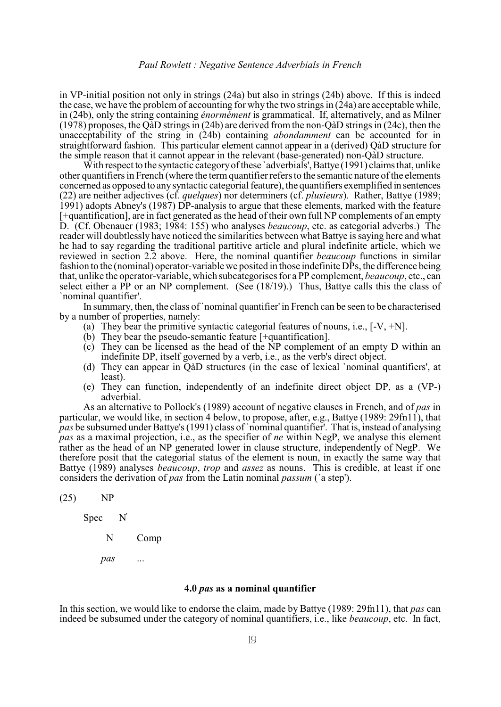in VP-initial position not only in strings (24a) but also in strings (24b) above. If this is indeed the case, we have the problem of accounting for why the two strings in  $(24a)$  are acceptable while, in (24b), only the string containing *énormément* is grammatical. If, alternatively, and as Milner (1978) proposes, the QàD strings in (24b) are derived from the non-QàD strings in (24c), then the unacceptability of the string in (24b) containing *abondamment* can be accounted for in straightforward fashion. This particular element cannot appear in a (derived) QàD structure for the simple reason that it cannot appear in the relevant (base-generated) non-QàD structure.

With respect to the syntactic category of these 'adverbials', Battye (1991) claims that, unlike other quantifiers in French (where the term quantifier refersto the semantic nature of the elements concerned as opposed to any syntactic categorial feature), the quantifiers exemplified in sentences (22) are neither adjectives (cf. *quelques*) nor determiners (cf. *plusieurs*). Rather, Battye (1989; 1991) adopts Abney's (1987) DP-analysis to argue that these elements, marked with the feature [+quantification], are in fact generated as the head of their own full NP complements of an empty D. (Cf. Obenauer (1983; 1984: 155) who analyses *beaucoup*, etc. as categorial adverbs.) The reader will doubtlessly have noticed the similarities between what Battye is saying here and what he had to say regarding the traditional partitive article and plural indefinite article, which we reviewed in section 2.2 above. Here, the nominal quantifier *beaucoup* functions in similar fashion to the (nominal) operator-variable we posited in those indefinite DPs, the difference being that, unlike the operator-variable, which subcategorises for a PP complement, *beaucoup*, etc., can select either a PP or an NP complement. (See (18/19).) Thus, Battye calls this the class of `nominal quantifier'.

In summary, then, the class of `nominal quantifier' in French can be seen to be characterised by a number of properties, namely:

- (a) They bear the primitive syntactic categorial features of nouns, i.e.,  $[-V, +N]$ .
- (b) They bear the pseudo-semantic feature [+quantification].
- (c) They can be licensed as the head of the NP complement of an empty D within an indefinite DP, itself governed by a verb, i.e., as the verb's direct object.
- (d) They can appear in QàD structures (in the case of lexical `nominal quantifiers', at least).
- (e) They can function, independently of an indefinite direct object DP, as a (VP-) adverbial.

As an alternative to Pollock's (1989) account of negative clauses in French, and of *pas* in particular, we would like, in section 4 below, to propose, after, e.g., Battye (1989: 29fn11), that *pas* be subsumed under Battye's (1991) class of `nominal quantifier'. That is, instead of analysing *pas* as a maximal projection, i.e., as the specifier of *ne* within NegP, we analyse this element rather as the head of an NP generated lower in clause structure, independently of NegP. We therefore posit that the categorial status of the element is noun, in exactly the same way that Battye (1989) analyses *beaucoup*, *trop* and *assez* as nouns. This is credible, at least if one considers the derivation of *pas* from the Latin nominal *passum* (`a step').

(25) NP

Spec

N Comp

'

*pas* ...

#### **4.0** *pas* **as a nominal quantifier**

In this section, we would like to endorse the claim, made by Battye (1989: 29fn11), that *pas* can indeed be subsumed under the category of nominal quantifiers, i.e., like *beaucoup*, etc. In fact,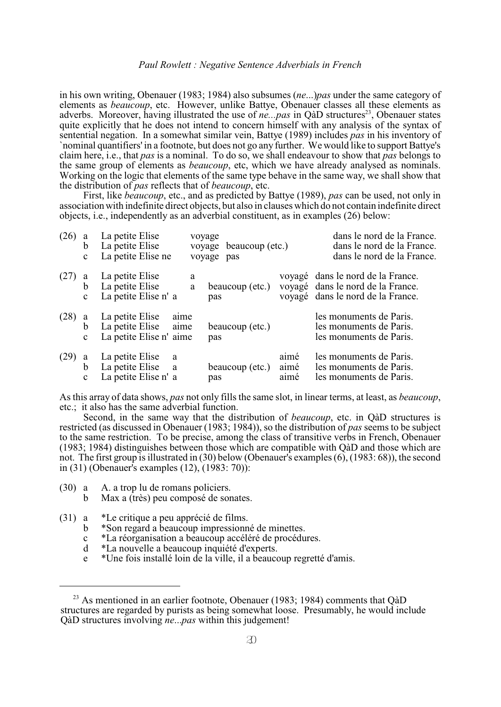in his own writing, Obenauer (1983; 1984) also subsumes (*ne*...)*pas* under the same category of elements as *beaucoup*, etc. However, unlike Battye, Obenauer classes all these elements as adverbs. Moreover, having illustrated the use of *ne...pas* in QàD structures<sup>23</sup>, Obenauer states quite explicitly that he does not intend to concern himself with any analysis of the syntax of sentential negation. In a somewhat similar vein, Battye (1989) includes *pas* in his inventory of `nominal quantifiers' in a footnote, but does not go any further. We would like to support Battye's claim here, i.e., that *pas* is a nominal. To do so, we shall endeavour to show that *pas* belongs to the same group of elements as *beaucoup*, etc, which we have already analysed as nominals. Working on the logic that elements of the same type behave in the same way, we shall show that the distribution of *pas* reflects that of *beaucoup*, etc.

First, like *beaucoup*, etc., and as predicted by Battye (1989), *pas* can be used, not only in association with indefinite direct objects, but also in clauses which do not contain indefinite direct objects, i.e., independently as an adverbial constituent, as in examples (26) below:

| (26) | a<br>b<br>$\mathbf{C}$             | La petite Elise<br>La petite Elise<br>La petite Elise ne     |               | voyage<br>voyage beaucoup (etc.)<br>voyage pas |                      | dans le nord de la France.<br>dans le nord de la France.<br>dans le nord de la France.                      |
|------|------------------------------------|--------------------------------------------------------------|---------------|------------------------------------------------|----------------------|-------------------------------------------------------------------------------------------------------------|
| (27) | a<br>b<br>$\mathbf{c}$             | La petite Elise<br>La petite Elise<br>La petite Elise n' a   | a<br>$\rm{a}$ | beaucoup (etc.)<br>pas                         |                      | voyagé dans le nord de la France.<br>voyagé dans le nord de la France.<br>voyagé dans le nord de la France. |
| (28) | a<br>$\mathfrak b$<br>$\mathbf{c}$ | La petite Elise<br>La petite Elise<br>La petite Elise n'aime | aime<br>aime  | beaucoup (etc.)<br>pas                         |                      | les monuments de Paris.<br>les monuments de Paris.<br>les monuments de Paris.                               |
| (29) | a<br>b<br>$\mathbf{c}$             | La petite Elise<br>La petite Elise a<br>La petite Elise n' a | a             | beaucoup (etc.)<br>pas                         | aimé<br>aimé<br>aimé | les monuments de Paris.<br>les monuments de Paris.<br>les monuments de Paris.                               |

As this array of data shows, *pas* not only fills the same slot, in linear terms, at least, as *beaucoup*, etc.; it also has the same adverbial function.

Second, in the same way that the distribution of *beaucoup*, etc. in QàD structures is restricted (as discussed in Obenauer (1983; 1984)), so the distribution of *pas* seems to be subject to the same restriction. To be precise, among the class of transitive verbs in French, Obenauer (1983; 1984) distinguishes between those which are compatible with QàD and those which are not. The first group is illustrated in (30) below (Obenauer's examples (6), (1983: 68)), the second in (31) (Obenauer's examples (12), (1983: 70)):

(30) a A. a trop lu de romans policiers.

b Max a (très) peu composé de sonates.

(31) a \*Le critique a peu apprécié de films.

- b \*Son regard a beaucoup impressionné de minettes.
- c \*La réorganisation a beaucoup accéléré de procédures.
- \*La nouvelle a beaucoup inquiété d'experts.
- e \*Une fois installé loin de la ville, il a beaucoup regretté d'amis.

<sup>&</sup>lt;sup>23</sup> As mentioned in an earlier footnote, Obenauer (1983; 1984) comments that  $\widehat{Qa}D$ structures are regarded by purists as being somewhat loose. Presumably, he would include QàD structures involving *ne*...*pas* within this judgement!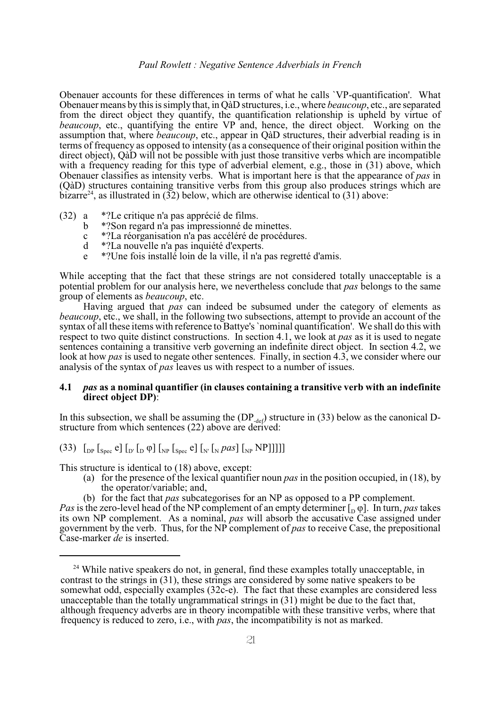Obenauer accounts for these differences in terms of what he calls `VP-quantification'. What Obenauer means by this is simply that, in QàD structures, i.e., where *beaucoup*, etc., are separated from the direct object they quantify, the quantification relationship is upheld by virtue of *beaucoup*, etc., quantifying the entire VP and, hence, the direct object. Working on the assumption that, where *beaucoup*, etc., appear in QàD structures, their adverbial reading is in terms of frequency as opposed to intensity (as a consequence of their original position within the direct object), QàD will not be possible with just those transitive verbs which are incompatible with a frequency reading for this type of adverbial element, e.g., those in (31) above, which Obenauer classifies as intensity verbs. What is important here is that the appearance of *pas* in (QàD) structures containing transitive verbs from this group also produces strings which are bizarre<sup>24</sup>, as illustrated in (32) below, which are otherwise identical to (31) above:

- (32) a \*?Le critique n'a pas apprécié de films.
	- b \*?Son regard n'a pas impressionné de minettes.
	- c \*?La réorganisation n'a pas accéléré de procédures.
	- d \*?La nouvelle n'a pas inquiété d'experts.
	- e \*?Une fois installé loin de la ville, il n'a pas regretté d'amis.

While accepting that the fact that these strings are not considered totally unacceptable is a potential problem for our analysis here, we nevertheless conclude that *pas* belongs to the same group of elements as *beaucoup*, etc.

Having argued that *pas* can indeed be subsumed under the category of elements as *beaucoup*, etc., we shall, in the following two subsections, attempt to provide an account of the syntax of all these items with reference to Battye's `nominal quantification'. We shall do this with respect to two quite distinct constructions. In section 4.1, we look at *pas* as it is used to negate sentences containing a transitive verb governing an indefinite direct object. In section 4.2, we look at how *pas* is used to negate other sentences. Finally, in section 4.3, we consider where our analysis of the syntax of *pas* leaves us with respect to a number of issues.

# **4.1** *pas* **as a nominal quantifier (in clauses containing a transitive verb with an indefinite direct object DP)**:

In this subsection, we shall be assuming the  $(DP_{def})$  structure in (33) below as the canonical Dstructure from which sentences (22) above are derived:

(33)  $\int_{DP} \int_{Spec} e \int_{D'} \int_{D} \varphi \int_{N} \int_{Spec} e \int_{N'} \int_{N} \rho \alpha s \int_{N'} NP$ ]]]]

This structure is identical to (18) above, except:

- (a) for the presence of the lexical quantifier noun *pas* in the position occupied, in (18), by the operator/variable; and,
- (b) for the fact that *pas* subcategorises for an NP as opposed to a PP complement.

*Pas* is the zero-level head of the NP complement of an empty determiner  $\begin{bmatrix} 0 & \varphi \end{bmatrix}$ . In turn, *pas* takes its own NP complement. As a nominal, *pas* will absorb the accusative Case assigned under government by the verb. Thus, for the NP complement of *pas* to receive Case, the prepositional Case-marker *de* is inserted.

 $^{24}$  While native speakers do not, in general, find these examples totally unacceptable, in contrast to the strings in (31), these strings are considered by some native speakers to be somewhat odd, especially examples (32c-e). The fact that these examples are considered less unacceptable than the totally ungrammatical strings in (31) might be due to the fact that, although frequency adverbs are in theory incompatible with these transitive verbs, where that frequency is reduced to zero, i.e., with *pas*, the incompatibility is not as marked.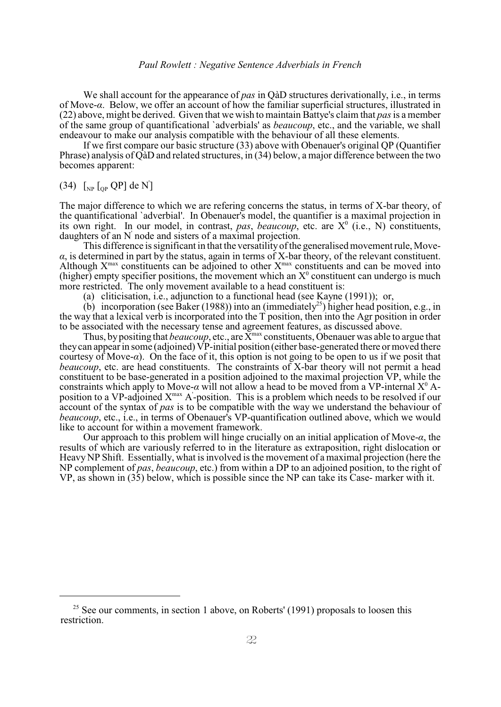We shall account for the appearance of *pas* in QàD structures derivationally, i.e., in terms of Move-*á*. Below, we offer an account of how the familiar superficial structures, illustrated in (22) above, might be derived. Given that we wish to maintain Battye's claim that *pas*is a member of the same group of quantificational `adverbials' as *beaucoup*, etc., and the variable, we shall endeavour to make our analysis compatible with the behaviour of all these elements.

If we first compare our basic structure (33) above with Obenauer's original QP (Quantifier Phrase) analysis of QàD and related structures, in (34) below, a major difference between the two becomes apparent:

# (34)  $\left[_{NP}\right]\left[_{QP}\right]$  de N<sup>'</sup>]

The major difference to which we are refering concerns the status, in terms of X-bar theory, of the quantificational `adverbial'. In Obenauer's model, the quantifier is a maximal projection in its own right. In our model, in contrast, pas, *beaucoup*, etc. are  $X^0$  (i.e., N) constituents, daughters of an  $N'$  node and sisters of a maximal projection.

This difference is significant in that the versatility of the generalised movement rule, Move- $\alpha$ , is determined in part by the status, again in terms of X-bar theory, of the relevant constituent. Although  $X<sup>max</sup>$  constituents can be adjoined to other  $X<sup>max</sup>$  constituents and can be moved into (higher) empty specifier positions, the movement which an  $X^0$  constituent can undergo is much more restricted. The only movement available to a head constituent is:

(a) cliticisation, i.e., adjunction to a functional head (see Kayne (1991)); or,

(b) incorporation (see Baker (1988)) into an (immediately<sup>25</sup>) higher head position, e.g., in the way that a lexical verb is incorporated into the T position, then into the Agr position in order to be associated with the necessary tense and agreement features, as discussed above.

Thus, by positing that *beaucoup*, etc., are  $\overline{X}^{\text{max}}$  constituents, Obenauer was able to argue that they can appear in some (adjoined) VP-initial position (either base-generated there or moved there courtesy of Move- $\alpha$ ). On the face of it, this option is not going to be open to us if we posit that *beaucoup*, etc. are head constituents. The constraints of X-bar theory will not permit a head constituent to be base-generated in a position adjoined to the maximal projection VP, while the constraints which apply to Move- $\alpha$  will not allow a head to be moved from a VP-internal  $X^0$  Aposition to a VP-adjoined  $X^{max}$  A-position. This is a problem which needs to be resolved if our account of the syntax of *pas* is to be compatible with the way we understand the behaviour of *beaucoup*, etc., i.e., in terms of Obenauer's VP-quantification outlined above, which we would like to account for within a movement framework.

Our approach to this problem will hinge crucially on an initial application of Move-*á*, the results of which are variously referred to in the literature as extraposition, right dislocation or Heavy NP Shift. Essentially, what is involved is the movement of a maximal projection (here the NP complement of *pas*, *beaucoup*, etc.) from within a DP to an adjoined position, to the right of VP, as shown in (35) below, which is possible since the NP can take its Case- marker with it.

 $25$  See our comments, in section 1 above, on Roberts' (1991) proposals to loosen this restriction.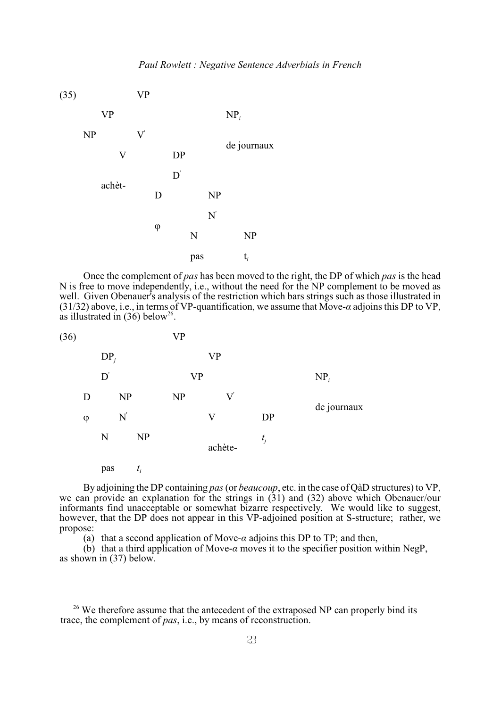

Once the complement of *pas* has been moved to the right, the DP of which *pas* is the head N is free to move independently, i.e., without the need for the NP complement to be moved as well. Given Obenauer's analysis of the restriction which bars strings such as those illustrated in (31/32) above, i.e., in terms of VP-quantification, we assume that Move- $\alpha$  adjoins this DP to VP, as illustrated in  $(36)$  below<sup>26</sup>.

| (36) |        |         |       | <b>VP</b> |           |       |             |
|------|--------|---------|-------|-----------|-----------|-------|-------------|
|      |        | $DP_j$  |       |           | <b>VP</b> |       |             |
|      |        | $D^{'}$ |       | <b>VP</b> |           |       | $NP_i$      |
|      | D      |         | NP    | NP        | ${\rm V}$ |       |             |
|      | $\phi$ |         | N'    |           | $\rm V$   | DP    | de journaux |
|      |        | N       | NP    |           | achète-   | $t_j$ |             |
|      |        | pas     | $t_i$ |           |           |       |             |

By adjoining the DP containing *pas* (or *beaucoup*, etc. in the case of QàD structures) to VP, we can provide an explanation for the strings in (31) and (32) above which Obenauer/our informants find unacceptable or somewhat bizarre respectively. We would like to suggest, however, that the DP does not appear in this VP-adjoined position at S-structure; rather, we propose:

(a) that a second application of Move- $\alpha$  adjoins this DP to TP; and then,

 $(b)$  that a third application of Move- $\alpha$  moves it to the specifier position within NegP, as shown in (37) below.

<sup>&</sup>lt;sup>26</sup> We therefore assume that the antecedent of the extraposed NP can properly bind its trace, the complement of *pas*, i.e., by means of reconstruction.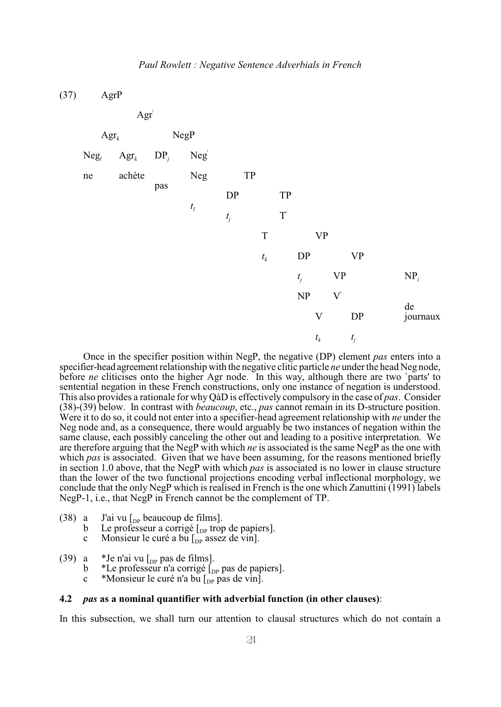(37) AgrP



Once in the specifier position within NegP, the negative (DP) element *pas* enters into a specifier-head agreement relationship with the negative clitic particle *ne* under the head Neg node, before *ne* cliticises onto the higher Agr node. In this way, although there are two 'parts' to sentential negation in these French constructions, only one instance of negation is understood. This also provides a rationale for why QàD is effectively compulsory in the case of *pas*. Consider (38)-(39) below. In contrast with *beaucoup*, etc., *pas* cannot remain in its D-structure position. Were it to do so, it could not enter into a specifier-head agreement relationship with *ne* under the Neg node and, as a consequence, there would arguably be two instances of negation within the same clause, each possibly canceling the other out and leading to a positive interpretation. We are therefore arguing that the NegP with which *ne* is associated is the same NegP as the one with which *pas* is associated. Given that we have been assuming, for the reasons mentioned briefly in section 1.0 above, that the NegP with which *pas* is associated is no lower in clause structure than the lower of the two functional projections encoding verbal inflectional morphology, we conclude that the only NegP which isrealised in French is the one which Zanuttini (1991) labels NegP-1, i.e., that NegP in French cannot be the complement of TP.

(38) a J'ai vu  $\begin{bmatrix} p_{\text{P}} \\ p_{\text{S}} \end{bmatrix}$  b Le professeur a corrigé  $\begin{bmatrix} p_{\text{P}} \\ p_{\text{S}} \end{bmatrix}$  trop

b Le professeur a corrigé  $\begin{bmatrix} p_{\text{p}} \\ p_{\text{p}} \end{bmatrix}$  trop de papiers].<br>c Monsieur le curé a bu  $\begin{bmatrix} p_{\text{p}} \\ p_{\text{p}} \end{bmatrix}$  assez de vinl.

- Monsieur le curé a bu  $\lbrack_{\text{DP}}$  assez de vin].
- (39) a \*Je n'ai vu  $\begin{bmatrix}$  [<sub>DP</sub> pas de films].<br>
b \*Le professeur n'a corrigé  $\begin{bmatrix}$ [
	- b \*Le professeur n'a corrigé  $\begin{bmatrix} p_P \\ p_R \end{bmatrix}$  pas de papiers].<br>c \*Monsieur le curé n'a bu  $\begin{bmatrix} p_R \\ p_R \end{bmatrix}$  pas de vin].
	- \*Monsieur le curé n'a bu  $\mathcal{L}_{\text{DP}}$  pas de vin].

#### **4.2** *pas* **as a nominal quantifier with adverbial function (in other clauses)**:

In this subsection, we shall turn our attention to clausal structures which do not contain a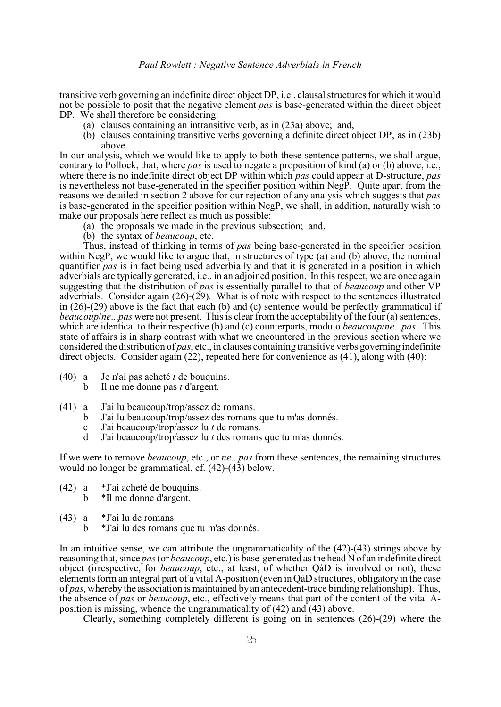transitive verb governing an indefinite direct object DP, i.e., clausal structures for which it would not be possible to posit that the negative element *pas* is base-generated within the direct object DP. We shall therefore be considering:

- (a) clauses containing an intransitive verb, as in (23a) above; and,
- (b) clauses containing transitive verbs governing a definite direct object DP, as in (23b) above.

In our analysis, which we would like to apply to both these sentence patterns, we shall argue, contrary to Pollock, that, where *pas* is used to negate a proposition of kind (a) or (b) above, i.e., where there is no indefinite direct object DP within which *pas* could appear at D-structure, *pas* is nevertheless not base-generated in the specifier position within NegP. Quite apart from the reasons we detailed in section 2 above for our rejection of any analysis which suggests that *pas* is base-generated in the specifier position within NegP, we shall, in addition, naturally wish to make our proposals here reflect as much as possible:

- (a) the proposals we made in the previous subsection; and,
- (b) the syntax of *beaucoup*, etc.

Thus, instead of thinking in terms of *pas* being base-generated in the specifier position within NegP, we would like to argue that, in structures of type (a) and (b) above, the nominal quantifier *pas* is in fact being used adverbially and that it is generated in a position in which adverbials are typically generated, i.e., in an adjoined position. In this respect, we are once again suggesting that the distribution of *pas* is essentially parallel to that of *beaucoup* and other VP adverbials. Consider again (26)-(29).What is of note with respect to the sentences illustrated in (26)-(29) above is the fact that each (b) and (c) sentence would be perfectly grammatical if *beaucoup*/*ne*...*pas* were not present. This is clear from the acceptability of the four (a) sentences, which are identical to their respective (b) and (c) counterparts, modulo *beaucoup*/*ne*...*pas*. This state of affairs is in sharp contrast with what we encountered in the previous section where we considered the distribution of *pas*, etc., in clauses containing transitive verbs governing indefinite direct objects. Consider again (22), repeated here for convenience as (41), along with (40):

- (40) a Je n'ai pas acheté *t* de bouquins.
	- b Il ne me donne pas *t* d'argent.
- (41) a J'ai lu beaucoup/trop/assez de romans.
	- b J'ai lu beaucoup/trop/assez des romans que tu m'as donnés.
	- c J'ai beaucoup/trop/assez lu *t* de romans.
	- d J'ai beaucoup/trop/assez lu *t* des romans que tu m'as donnés.

If we were to remove *beaucoup*, etc., or *ne*...*pas* from these sentences, the remaining structures would no longer be grammatical, cf. (42)-(43) below.

- (42) a \*J'ai acheté de bouquins. b \*Il me donne d'argent.
- (43) a \*J'ai lu de romans.
	- b \*J'ai lu des romans que tu m'as donnés.

In an intuitive sense, we can attribute the ungrammaticality of the (42)-(43) strings above by reasoning that, since *pas* (or *beaucoup*, etc.) is base-generated as the head N of an indefinite direct object (irrespective, for *beaucoup*, etc., at least, of whether QàD is involved or not), these elements form an integral part of a vital A-position (even in QàD structures, obligatory in the case of *pas*, wherebythe association is maintained by an antecedent-trace binding relationship). Thus, the absence of *pas* or *beaucoup*, etc., effectively means that part of the content of the vital Aposition is missing, whence the ungrammaticality of (42) and (43) above.

Clearly, something completely different is going on in sentences (26)-(29) where the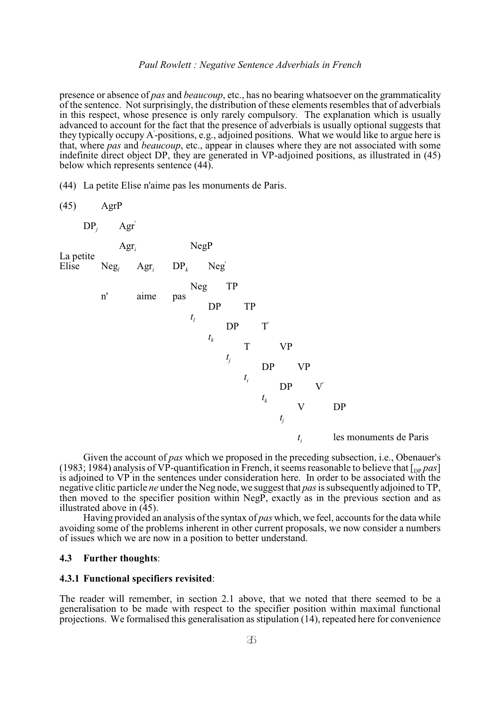presence or absence of *pas* and *beaucoup*, etc., has no bearing whatsoever on the grammaticality of the sentence. Not surprisingly, the distribution of these elements resembles that of adverbials in this respect, whose presence is only rarely compulsory. The explanation which is usually advanced to account for the fact that the presence of adverbials is usually optional suggests that they typically occupy A-positions, e.g., adjoined positions. What we would like to argue here is ' that, where *pas* and *beaucoup*, etc., appear in clauses where they are not associated with some indefinite direct object DP, they are generated in VP-adjoined positions, as illustrated in (45) below which represents sentence (44).

(44) La petite Elise n'aime pas les monuments de Paris.



Given the account of *pas* which we proposed in the preceding subsection, i.e., Obenauer's (1983; 1984) analysis of VP-quantification in French, it seems reasonable to believe that  $\lceil_{\text{pp}} \text{pas}\rceil$ is adjoined to VP in the sentences under consideration here. In order to be associated with the negative clitic particle *ne* under the Neg node, we suggest that *pas*is subsequently adjoined to TP, then moved to the specifier position within NegP, exactly as in the previous section and as illustrated above in  $(45)$ .

Having provided an analysis of the syntax of *pas* which, we feel, accounts for the data while avoiding some of the problems inherent in other current proposals, we now consider a numbers of issues which we are now in a position to better understand.

#### **4.3 Further thoughts**:

#### **4.3.1 Functional specifiers revisited**:

The reader will remember, in section 2.1 above, that we noted that there seemed to be a generalisation to be made with respect to the specifier position within maximal functional projections. We formalised this generalisation as stipulation (14), repeated here for convenience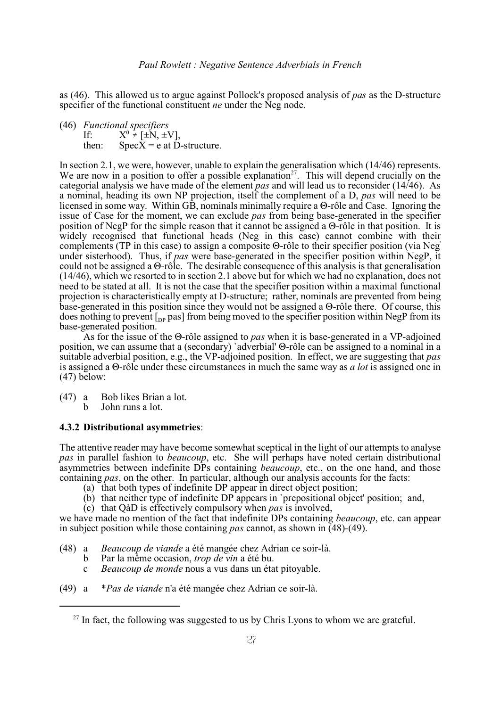as (46). This allowed us to argue against Pollock's proposed analysis of *pas* as the D-structure specifier of the functional constituent *ne* under the Neg node.

(46) *Functional specifiers*<br>If:  $X^0 \neq [\pm N, \pm N]$ If:  $X^0 \neq [\pm N, \pm V],$ <br>then:  $SneeX = e$  at D  $SpecX = e$  at D-structure.

In section 2.1, we were, however, unable to explain the generalisation which (14/46) represents. We are now in a position to offer a possible explanation<sup>27</sup>. This will depend crucially on the categorial analysis we have made of the element *pas* and will lead us to reconsider (14/46). As a nominal, heading its own NP projection, itself the complement of a D, *pas* will need to be licensed in some way. Within  $\overrightarrow{GB}$ , nominals minimally require a  $\Theta$ -rôle and Case. Ignoring the issue of Case for the moment, we can exclude *pas* from being base-generated in the specifier position of NegP for the simple reason that it cannot be assigned a  $\Theta$ -rôle in that position. It is widely recognised that functional heads (Neg in this case) cannot combine with their complements (TP in this case) to assign a composite  $\Theta$ -rôle to their specifier position (via Neg' under sisterhood). Thus, if *pas* were base-generated in the specifier position within NegP, it could not be assigned a  $\Theta$ -rôle. The desirable consequence of this analysis is that generalisation (14/46), which we resorted to in section 2.1 above but for which we had no explanation, does not need to be stated at all. It is not the case that the specifier position within a maximal functional projection is characteristically empty at D-structure; rather, nominals are prevented from being base-generated in this position since they would not be assigned a  $\Theta$ -rôle there. Of course, this does nothing to prevent  $\left[$ <sub>DP</sub> pas] from being moved to the specifier position within NegP from its base-generated position.

As for the issue of the  $\Theta$ -rôle assigned to *pas* when it is base-generated in a VP-adjoined position, we can assume that a (secondary) `adverbial'  $\Theta$ -rôle can be assigned to a nominal in a suitable adverbial position, e.g., the VP-adjoined position. In effect, we are suggesting that *pas* is assigned a  $\Theta$ -rôle under these circumstances in much the same way as *a lot* is assigned one in (47) below:

(47) a Bob likes Brian a lot. b John runs a lot.

# **4.3.2 Distributional asymmetries**:

The attentive reader may have become somewhat sceptical in the light of our attempts to analyse *pas* in parallel fashion to *beaucoup*, etc. She will perhaps have noted certain distributional asymmetries between indefinite DPs containing *beaucoup*, etc., on the one hand, and those containing *pas*, on the other. In particular, although our analysis accounts for the facts:

- (a) that both types of indefinite DP appear in direct object position;
- (b) that neither type of indefinite DP appears in `prepositional object' position; and,
- (c) that QàD is effectively compulsory when *pas* is involved,

we have made no mention of the fact that indefinite DPs containing *beaucoup*, etc. can appear in subject position while those containing *pas* cannot, as shown in (48)-(49).

- (48) a *Beaucoup de viande* a été mangée chez Adrian ce soir-là.
	- b Par la même occasion, *trop de vin* a été bu.
	- c *Beaucoup de monde* nous a vus dans un état pitoyable.
- (49) a \**Pas de viande* n'a été mangée chez Adrian ce soir-là.

 $27$  In fact, the following was suggested to us by Chris Lyons to whom we are grateful.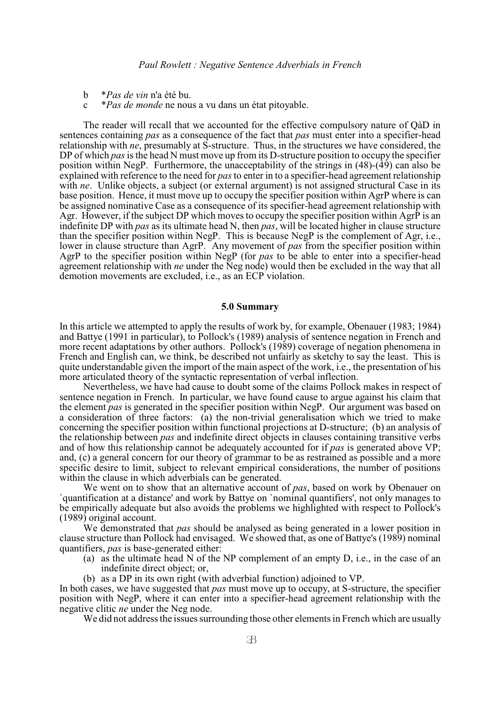- b \**Pas de vin* n'a été bu.
- c \**Pas de monde* ne nous a vu dans un état pitoyable.

The reader will recall that we accounted for the effective compulsory nature of QàD in sentences containing *pas* as a consequence of the fact that *pas* must enter into a specifier-head relationship with *ne*, presumably at S-structure. Thus, in the structures we have considered, the DP of which *pas* is the head N must move up from its D-structure position to occupy the specifier position within NegP. Furthermore, the unacceptability of the strings in  $(48)-(49)$  can also be explained with reference to the need for *pas* to enter in to a specifier-head agreement relationship with *ne*. Unlike objects, a subject (or external argument) is not assigned structural Case in its base position. Hence, it must move up to occupy the specifier position within AgrP where is can be assigned nominative Case as a consequence of its specifier-head agreement relationship with Agr. However, if the subject DP which moves to occupy the specifier position within AgrP is an indefinite DP with *pas* as its ultimate head N, then *pas*, will be located higher in clause structure than the specifier position within NegP. This is because NegP is the complement of Agr, i.e., lower in clause structure than AgrP. Any movement of *pas* from the specifier position within AgrP to the specifier position within NegP (for *pas* to be able to enter into a specifier-head agreement relationship with *ne* under the Neg node) would then be excluded in the way that all demotion movements are excluded, i.e., as an ECP violation.

#### **5.0 Summary**

In this article we attempted to apply the results of work by, for example, Obenauer (1983; 1984) and Battye (1991 in particular), to Pollock's (1989) analysis of sentence negation in French and more recent adaptations by other authors. Pollock's (1989) coverage of negation phenomena in French and English can, we think, be described not unfairly as sketchy to say the least. This is quite understandable given the import of the main aspect of the work, i.e., the presentation of his more articulated theory of the syntactic representation of verbal inflection.

Nevertheless, we have had cause to doubt some of the claims Pollock makes in respect of sentence negation in French. In particular, we have found cause to argue against his claim that the element *pas* is generated in the specifier position within NegP. Our argument was based on a consideration of three factors: (a) the non-trivial generalisation which we tried to make concerning the specifier position within functional projections at D-structure; (b) an analysis of the relationship between *pas* and indefinite direct objects in clauses containing transitive verbs and of how this relationship cannot be adequately accounted for if *pas* is generated above VP; and, (c) a general concern for our theory of grammar to be as restrained as possible and a more specific desire to limit, subject to relevant empirical considerations, the number of positions within the clause in which adverbials can be generated.

We went on to show that an alternative account of *pas*, based on work by Obenauer on `quantification at a distance' and work by Battye on `nominal quantifiers', not only manages to be empirically adequate but also avoids the problems we highlighted with respect to Pollock's (1989) original account.

We demonstrated that *pas* should be analysed as being generated in a lower position in clause structure than Pollock had envisaged. We showed that, as one of Battye's (1989) nominal quantifiers, *pas* is base-generated either:

- (a) as the ultimate head N of the NP complement of an empty D, i.e., in the case of an indefinite direct object; or,
- (b) as a DP in its own right (with adverbial function) adjoined to VP.

In both cases, we have suggested that *pas* must move up to occupy, at S-structure, the specifier position with NegP, where it can enter into a specifier-head agreement relationship with the negative clitic *ne* under the Neg node.

We did not address the issues surrounding those other elements in French which are usually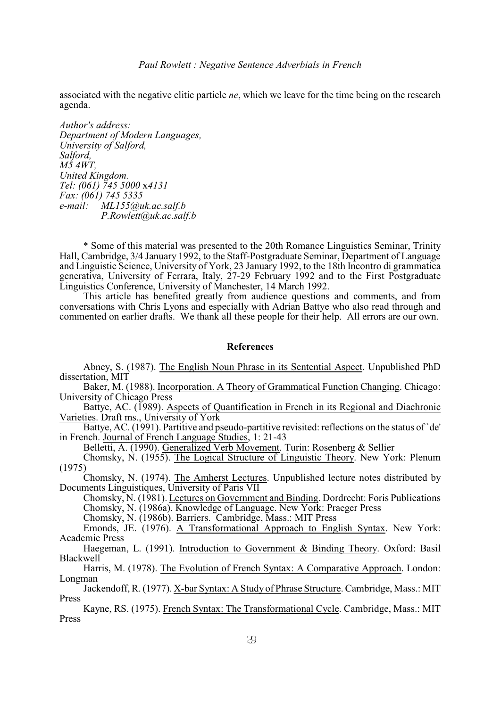associated with the negative clitic particle *ne*, which we leave for the time being on the research agenda.

*Author's address: Department of Modern Languages, University of Salford, Salford, M5 4WT, United Kingdom. Tel: (061) 745 5000* x*4131 Fax: (061) 745 5335 e-mail: ML155@uk.ac.salf.b P.Rowlett@uk.ac.salf.b*

\* Some of this material was presented to the 20th Romance Linguistics Seminar, Trinity Hall, Cambridge, 3/4 January 1992, to the Staff-Postgraduate Seminar, Department of Language and Linguistic Science, University of York, 23 January 1992, to the 18th Incontro di grammatica generativa, University of Ferrara, Italy, 27-29 February 1992 and to the First Postgraduate Linguistics Conference, University of Manchester, 14 March 1992.

This article has benefited greatly from audience questions and comments, and from conversations with Chris Lyons and especially with Adrian Battye who also read through and commented on earlier drafts. We thank all these people for their help. All errors are our own.

#### **References**

Abney, S. (1987). The English Noun Phrase in its Sentential Aspect. Unpublished PhD dissertation, MIT

Baker, M. (1988). Incorporation. A Theory of Grammatical Function Changing. Chicago: University of Chicago Press

Battye, AC. (1989). Aspects of Quantification in French in its Regional and Diachronic Varieties. Draft ms., University of York

Battye, AC. (1991). Partitive and pseudo-partitive revisited: reflections on the status of `de' in French. Journal of French Language Studies, 1: 21-43

Belletti, A. (1990). Generalized Verb Movement. Turin: Rosenberg & Sellier

Chomsky, N. (1955). The Logical Structure of Linguistic Theory. New York: Plenum (1975)

Chomsky, N. (1974). The Amherst Lectures. Unpublished lecture notes distributed by Documents Linguistiques, University of Paris VII

Chomsky, N. (1981). Lectures on Government and Binding. Dordrecht: Foris Publications

Chomsky, N. (1986a). Knowledge of Language. New York: Praeger Press

Chomsky, N. (1986b). Barriers. Cambridge, Mass.: MIT Press

Emonds, JE. (1976). A Transformational Approach to English Syntax. New York: Academic Press

Haegeman, L. (1991). Introduction to Government & Binding Theory. Oxford: Basil Blackwell

Harris, M. (1978). The Evolution of French Syntax: A Comparative Approach. London: Longman

Jackendoff, R. (1977). X-bar Syntax: A Study of Phrase Structure. Cambridge, Mass.: MIT Press

Kayne, RS. (1975). French Syntax: The Transformational Cycle. Cambridge, Mass.: MIT Press